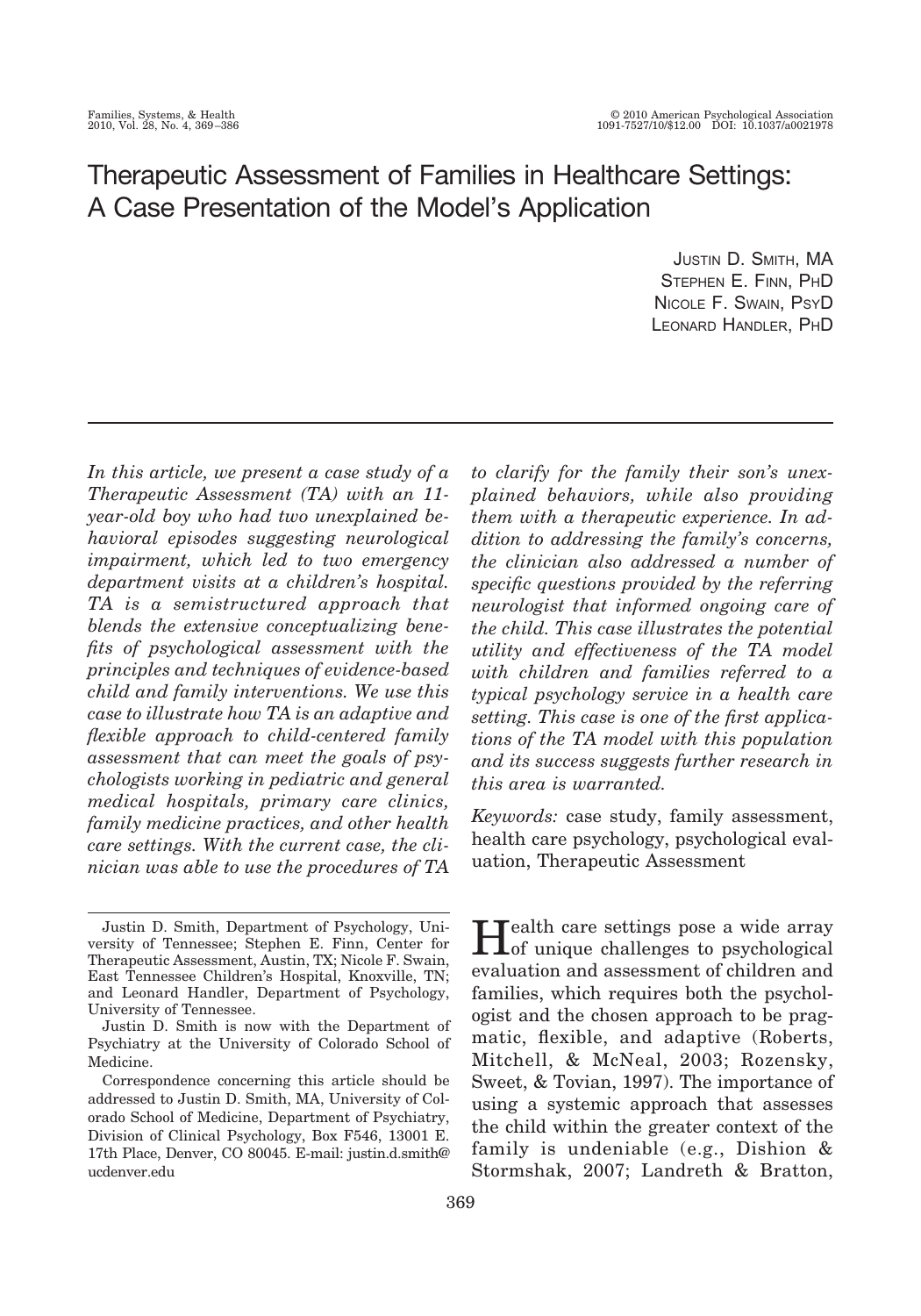# Therapeutic Assessment of Families in Healthcare Settings: A Case Presentation of the Model's Application

JUSTIN D. SMITH, MA STEPHEN E. FINN, PHD NICOLE F. SWAIN, PSYD LEONARD HANDLER, PHD

*In this article, we present a case study of a Therapeutic Assessment (TA) with an 11 year-old boy who had two unexplained behavioral episodes suggesting neurological impairment, which led to two emergency department visits at a children's hospital. TA is a semistructured approach that blends the extensive conceptualizing benefits of psychological assessment with the principles and techniques of evidence-based child and family interventions. We use this case to illustrate how TA is an adaptive and flexible approach to child-centered family assessment that can meet the goals of psychologists working in pediatric and general medical hospitals, primary care clinics, family medicine practices, and other health care settings. With the current case, the clinician was able to use the procedures of TA* *to clarify for the family their son's unexplained behaviors, while also providing them with a therapeutic experience. In addition to addressing the family's concerns, the clinician also addressed a number of specific questions provided by the referring neurologist that informed ongoing care of the child. This case illustrates the potential utility and effectiveness of the TA model with children and families referred to a typical psychology service in a health care setting. This case is one of the first applications of the TA model with this population and its success suggests further research in this area is warranted.*

*Keywords:* case study, family assessment, health care psychology, psychological evaluation, Therapeutic Assessment

Health care settings pose a wide array of unique challenges to psychological evaluation and assessment of children and families, which requires both the psychologist and the chosen approach to be pragmatic, flexible, and adaptive (Roberts, Mitchell, & McNeal, 2003; Rozensky, Sweet, & Tovian, 1997). The importance of using a systemic approach that assesses the child within the greater context of the family is undeniable (e.g., Dishion & Stormshak, 2007; Landreth & Bratton,

Justin D. Smith, Department of Psychology, University of Tennessee; Stephen E. Finn, Center for Therapeutic Assessment, Austin, TX; Nicole F. Swain, East Tennessee Children's Hospital, Knoxville, TN; and Leonard Handler, Department of Psychology, University of Tennessee.

Justin D. Smith is now with the Department of Psychiatry at the University of Colorado School of Medicine.

Correspondence concerning this article should be addressed to Justin D. Smith, MA, University of Colorado School of Medicine, Department of Psychiatry, Division of Clinical Psychology, Box F546, 13001 E. 17th Place, Denver, CO 80045. E-mail: justin.d.smith@ ucdenver.edu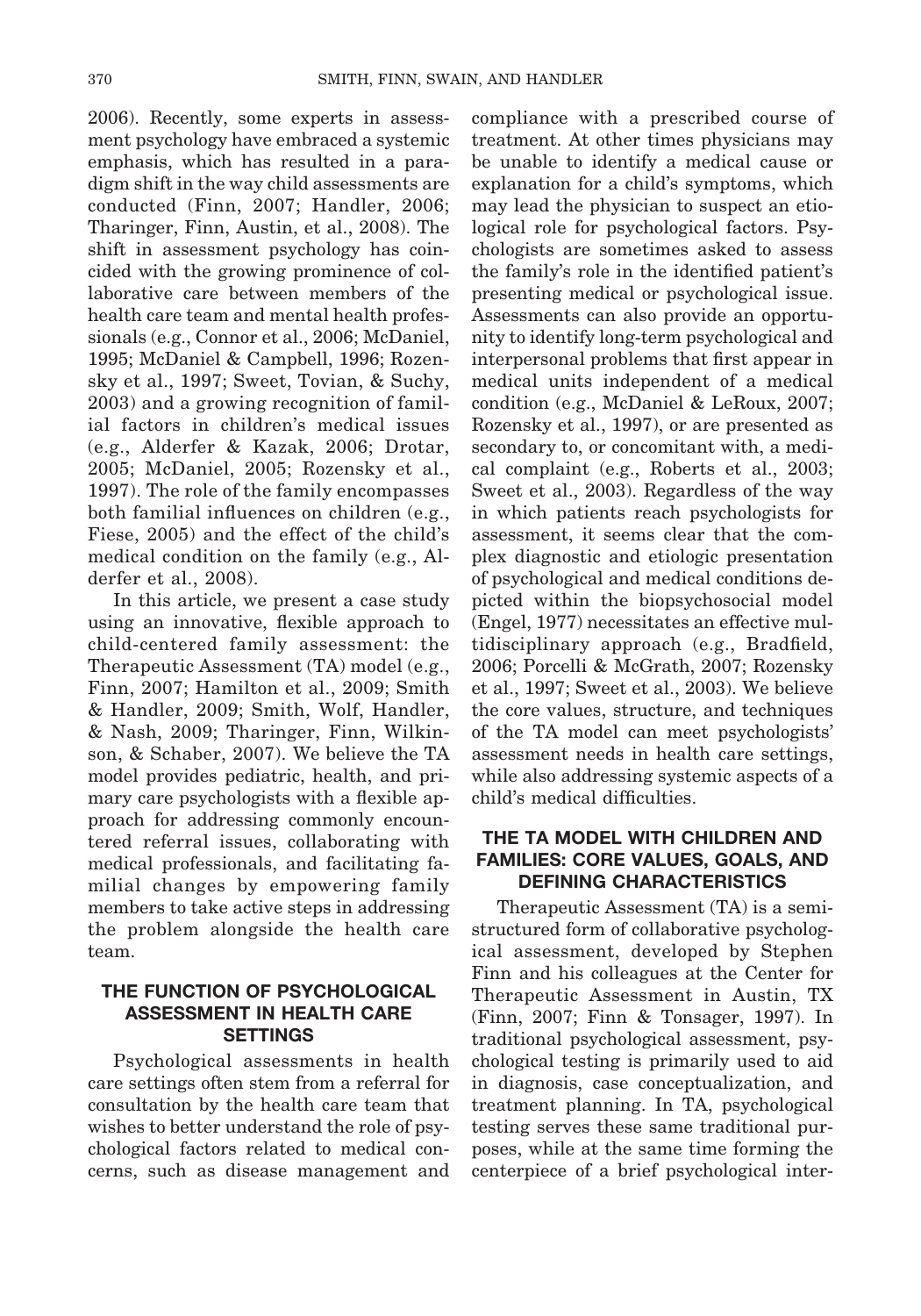2006). Recently, some experts in assessment psychology have embraced a systemic emphasis, which has resulted in a paradigm shift in the way child assessments are conducted (Finn, 2007; Handler, 2006; Tharinger, Finn, Austin, et al., 2008). The shift in assessment psychology has coincided with the growing prominence of collaborative care between members of the health care team and mental health professionals (e.g., Connor et al., 2006; McDaniel, 1995; McDaniel & Campbell, 1996; Rozensky et al., 1997; Sweet, Tovian, & Suchy, 2003) and a growing recognition of familial factors in children's medical issues (e.g., Alderfer & Kazak, 2006; Drotar, 2005; McDaniel, 2005; Rozensky et al., 1997). The role of the family encompasses both familial influences on children (e.g., Fiese, 2005) and the effect of the child's medical condition on the family (e.g., Alderfer et al., 2008).

In this article, we present a case study using an innovative, flexible approach to child-centered family assessment: the Therapeutic Assessment (TA) model (e.g., Finn, 2007; Hamilton et al., 2009; Smith & Handler, 2009; Smith, Wolf, Handler, & Nash, 2009; Tharinger, Finn, Wilkinson, & Schaber, 2007). We believe the TA model provides pediatric, health, and primary care psychologists with a flexible approach for addressing commonly encountered referral issues, collaborating with medical professionals, and facilitating familial changes by empowering family members to take active steps in addressing the problem alongside the health care team.

## **THE FUNCTION OF PSYCHOLOGICAL ASSESSMENT IN HEALTH CARE SETTINGS**

Psychological assessments in health care settings often stem from a referral for consultation by the health care team that wishes to better understand the role of psychological factors related to medical concerns, such as disease management and compliance with a prescribed course of treatment. At other times physicians may be unable to identify a medical cause or explanation for a child's symptoms, which may lead the physician to suspect an etiological role for psychological factors. Psychologists are sometimes asked to assess the family's role in the identified patient's presenting medical or psychological issue. Assessments can also provide an opportunity to identify long-term psychological and interpersonal problems that first appear in medical units independent of a medical condition (e.g., McDaniel & LeRoux, 2007; Rozensky et al., 1997), or are presented as secondary to, or concomitant with, a medical complaint (e.g., Roberts et al., 2003; Sweet et al., 2003). Regardless of the way in which patients reach psychologists for assessment, it seems clear that the complex diagnostic and etiologic presentation of psychological and medical conditions depicted within the biopsychosocial model (Engel, 1977) necessitates an effective multidisciplinary approach (e.g., Bradfield, 2006; Porcelli & McGrath, 2007; Rozensky et al., 1997; Sweet et al., 2003). We believe the core values, structure, and techniques of the TA model can meet psychologists' assessment needs in health care settings, while also addressing systemic aspects of a child's medical difficulties.

## **THE TA MODEL WITH CHILDREN AND FAMILIES: CORE VALUES, GOALS, AND DEFINING CHARACTERISTICS**

Therapeutic Assessment (TA) is a semistructured form of collaborative psychological assessment, developed by Stephen Finn and his colleagues at the Center for Therapeutic Assessment in Austin, TX (Finn, 2007; Finn & Tonsager, 1997). In traditional psychological assessment, psychological testing is primarily used to aid in diagnosis, case conceptualization, and treatment planning. In TA, psychological testing serves these same traditional purposes, while at the same time forming the centerpiece of a brief psychological inter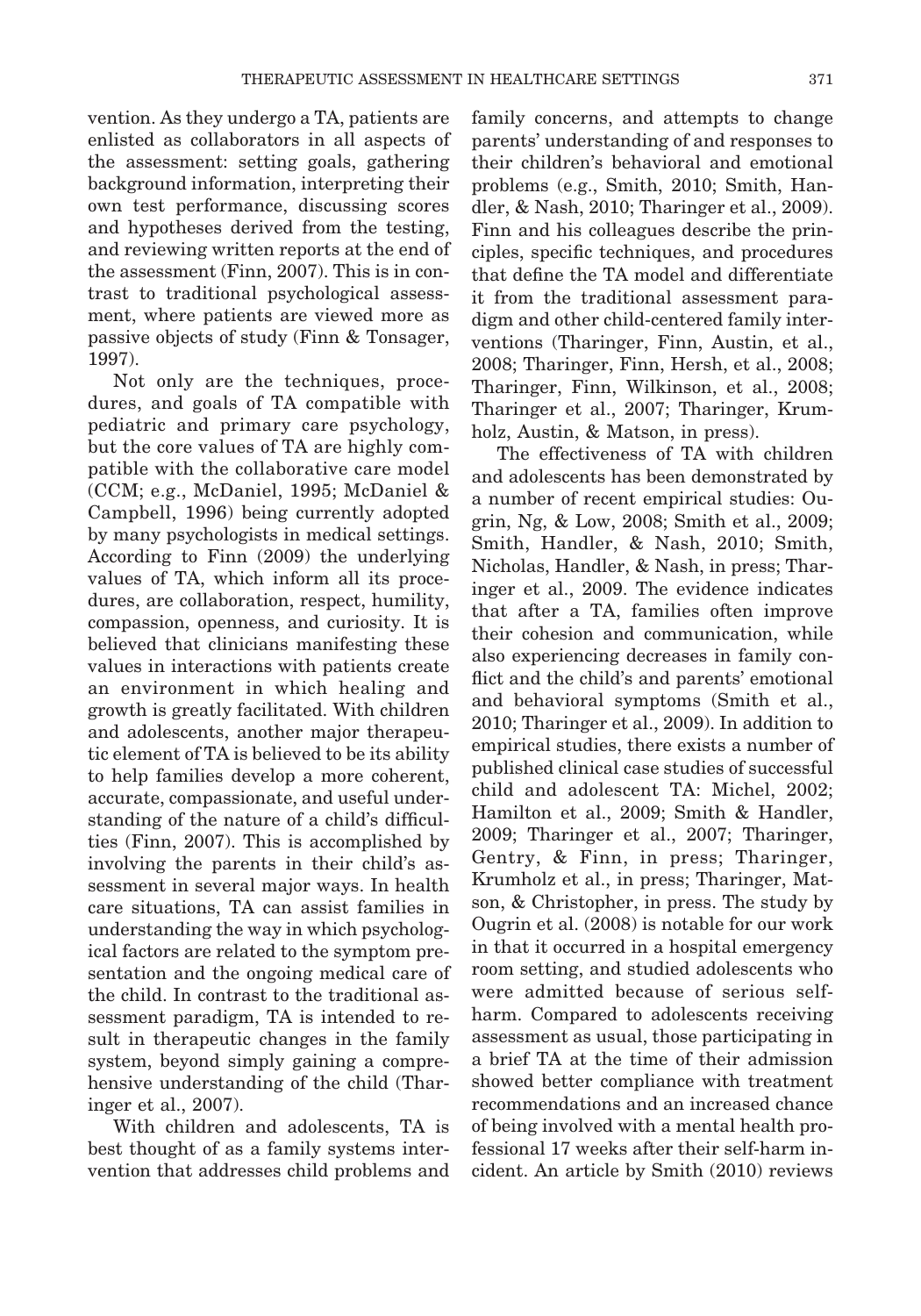vention. As they undergo a TA, patients are enlisted as collaborators in all aspects of the assessment: setting goals, gathering background information, interpreting their own test performance, discussing scores and hypotheses derived from the testing, and reviewing written reports at the end of the assessment (Finn, 2007). This is in contrast to traditional psychological assessment, where patients are viewed more as passive objects of study (Finn & Tonsager, 1997).

Not only are the techniques, procedures, and goals of TA compatible with pediatric and primary care psychology, but the core values of TA are highly compatible with the collaborative care model (CCM; e.g., McDaniel, 1995; McDaniel & Campbell, 1996) being currently adopted by many psychologists in medical settings. According to Finn (2009) the underlying values of TA, which inform all its procedures, are collaboration, respect, humility, compassion, openness, and curiosity. It is believed that clinicians manifesting these values in interactions with patients create an environment in which healing and growth is greatly facilitated. With children and adolescents, another major therapeutic element of TA is believed to be its ability to help families develop a more coherent, accurate, compassionate, and useful understanding of the nature of a child's difficulties (Finn, 2007). This is accomplished by involving the parents in their child's assessment in several major ways. In health care situations, TA can assist families in understanding the way in which psychological factors are related to the symptom presentation and the ongoing medical care of the child. In contrast to the traditional assessment paradigm, TA is intended to result in therapeutic changes in the family system, beyond simply gaining a comprehensive understanding of the child (Tharinger et al., 2007).

With children and adolescents, TA is best thought of as a family systems intervention that addresses child problems and

family concerns, and attempts to change parents' understanding of and responses to their children's behavioral and emotional problems (e.g., Smith, 2010; Smith, Handler, & Nash, 2010; Tharinger et al., 2009). Finn and his colleagues describe the principles, specific techniques, and procedures that define the TA model and differentiate it from the traditional assessment paradigm and other child-centered family interventions (Tharinger, Finn, Austin, et al., 2008; Tharinger, Finn, Hersh, et al., 2008; Tharinger, Finn, Wilkinson, et al., 2008; Tharinger et al., 2007; Tharinger, Krumholz, Austin, & Matson, in press).

The effectiveness of TA with children and adolescents has been demonstrated by a number of recent empirical studies: Ougrin, Ng, & Low, 2008; Smith et al., 2009; Smith, Handler, & Nash, 2010; Smith, Nicholas, Handler, & Nash, in press; Tharinger et al., 2009. The evidence indicates that after a TA, families often improve their cohesion and communication, while also experiencing decreases in family conflict and the child's and parents' emotional and behavioral symptoms (Smith et al., 2010; Tharinger et al., 2009). In addition to empirical studies, there exists a number of published clinical case studies of successful child and adolescent TA: Michel, 2002; Hamilton et al., 2009; Smith & Handler, 2009; Tharinger et al., 2007; Tharinger, Gentry, & Finn, in press; Tharinger, Krumholz et al., in press; Tharinger, Matson, & Christopher, in press. The study by Ougrin et al. (2008) is notable for our work in that it occurred in a hospital emergency room setting, and studied adolescents who were admitted because of serious selfharm. Compared to adolescents receiving assessment as usual, those participating in a brief TA at the time of their admission showed better compliance with treatment recommendations and an increased chance of being involved with a mental health professional 17 weeks after their self-harm incident. An article by Smith (2010) reviews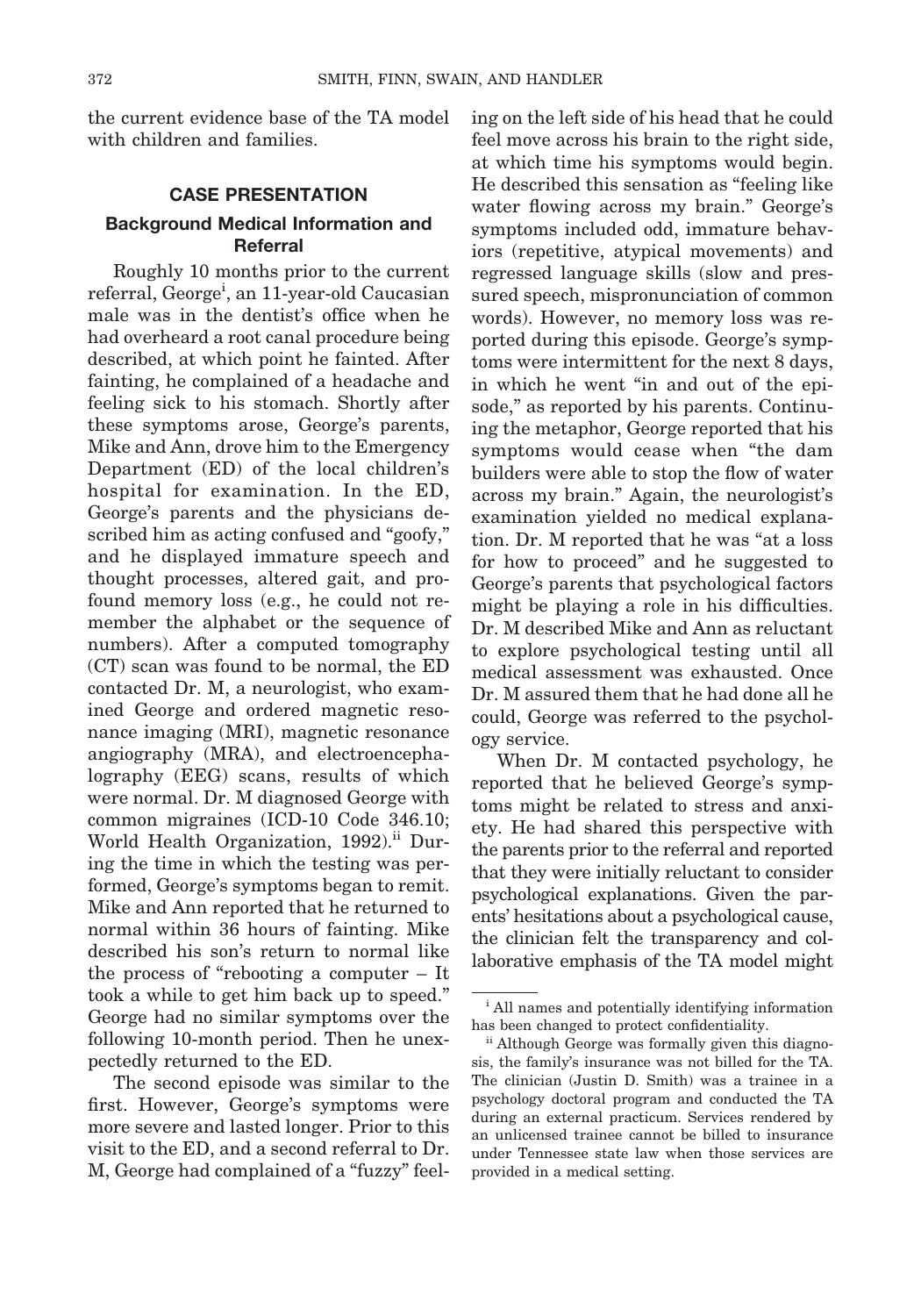the current evidence base of the TA model with children and families.

## **CASE PRESENTATION Background Medical Information and Referral**

Roughly 10 months prior to the current referral, George<sup>i</sup>, an 11-year-old Caucasian male was in the dentist's office when he had overheard a root canal procedure being described, at which point he fainted. After fainting, he complained of a headache and feeling sick to his stomach. Shortly after these symptoms arose, George's parents, Mike and Ann, drove him to the Emergency Department (ED) of the local children's hospital for examination. In the ED, George's parents and the physicians described him as acting confused and "goofy," and he displayed immature speech and thought processes, altered gait, and profound memory loss (e.g., he could not remember the alphabet or the sequence of numbers). After a computed tomography (CT) scan was found to be normal, the ED contacted Dr. M, a neurologist, who examined George and ordered magnetic resonance imaging (MRI), magnetic resonance angiography (MRA), and electroencephalography (EEG) scans, results of which were normal. Dr. M diagnosed George with common migraines (ICD-10 Code 346.10; World Health Organization, 1992).<sup>ii</sup> During the time in which the testing was performed, George's symptoms began to remit. Mike and Ann reported that he returned to normal within 36 hours of fainting. Mike described his son's return to normal like the process of "rebooting a computer – It took a while to get him back up to speed." George had no similar symptoms over the following 10-month period. Then he unexpectedly returned to the ED.

The second episode was similar to the first. However, George's symptoms were more severe and lasted longer. Prior to this visit to the ED, and a second referral to Dr. M, George had complained of a "fuzzy" feeling on the left side of his head that he could feel move across his brain to the right side, at which time his symptoms would begin. He described this sensation as "feeling like water flowing across my brain." George's symptoms included odd, immature behaviors (repetitive, atypical movements) and regressed language skills (slow and pressured speech, mispronunciation of common words). However, no memory loss was reported during this episode. George's symptoms were intermittent for the next 8 days, in which he went "in and out of the episode," as reported by his parents. Continuing the metaphor, George reported that his symptoms would cease when "the dam builders were able to stop the flow of water across my brain." Again, the neurologist's examination yielded no medical explanation. Dr. M reported that he was "at a loss for how to proceed" and he suggested to George's parents that psychological factors might be playing a role in his difficulties. Dr. M described Mike and Ann as reluctant to explore psychological testing until all medical assessment was exhausted. Once Dr. M assured them that he had done all he could, George was referred to the psychology service.

When Dr. M contacted psychology, he reported that he believed George's symptoms might be related to stress and anxiety. He had shared this perspective with the parents prior to the referral and reported that they were initially reluctant to consider psychological explanations. Given the parents' hesitations about a psychological cause, the clinician felt the transparency and collaborative emphasis of the TA model might

<sup>i</sup> All names and potentially identifying information has been changed to protect confidentiality.

ii Although George was formally given this diagnosis, the family's insurance was not billed for the TA. The clinician (Justin D. Smith) was a trainee in a psychology doctoral program and conducted the TA during an external practicum. Services rendered by an unlicensed trainee cannot be billed to insurance under Tennessee state law when those services are provided in a medical setting.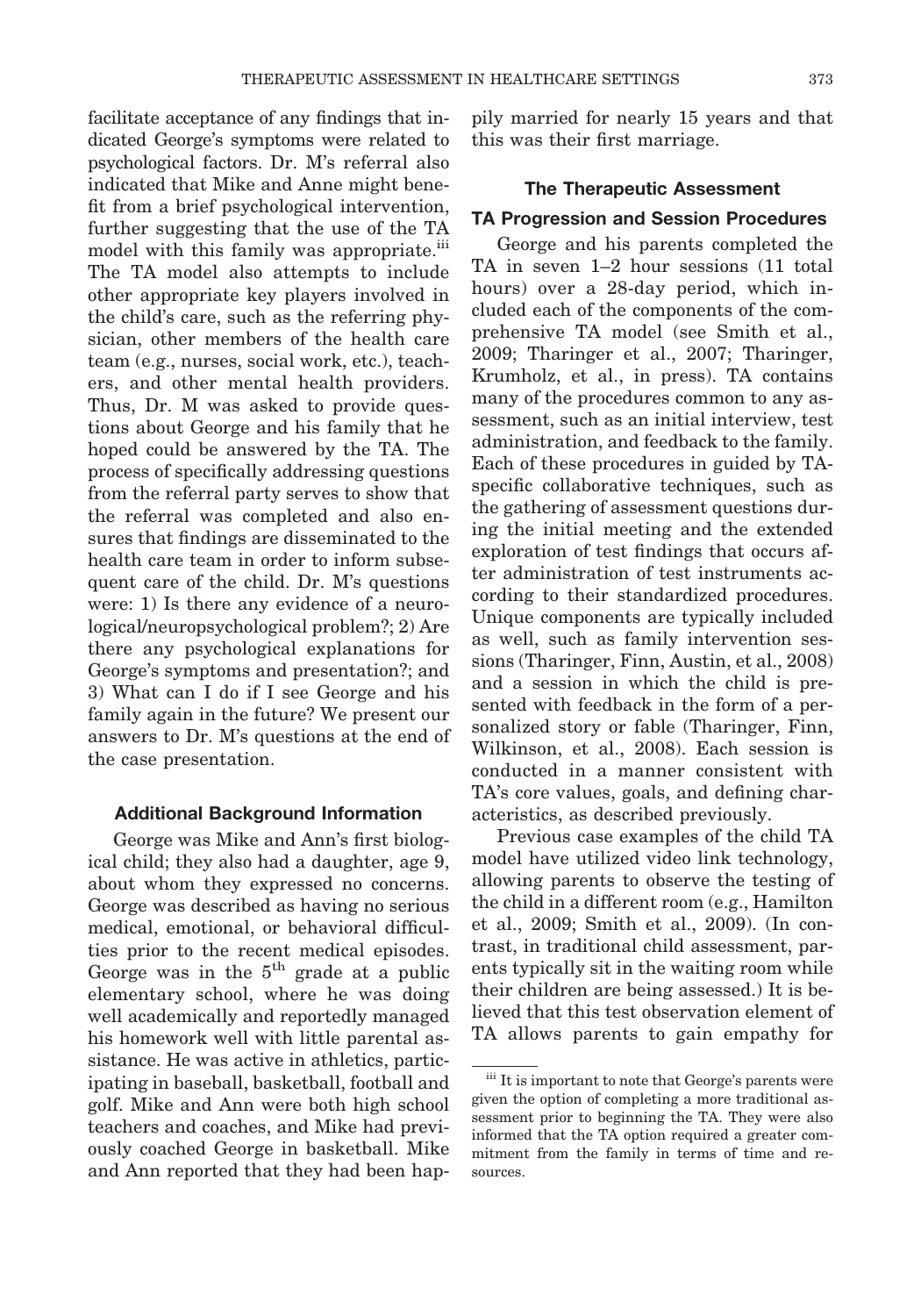facilitate acceptance of any findings that indicated George's symptoms were related to psychological factors. Dr. M's referral also indicated that Mike and Anne might benefit from a brief psychological intervention, further suggesting that the use of the TA model with this family was appropriate.<sup>iii</sup> The TA model also attempts to include other appropriate key players involved in the child's care, such as the referring physician, other members of the health care team (e.g., nurses, social work, etc.), teachers, and other mental health providers. Thus, Dr. M was asked to provide questions about George and his family that he hoped could be answered by the TA. The process of specifically addressing questions from the referral party serves to show that the referral was completed and also ensures that findings are disseminated to the health care team in order to inform subsequent care of the child. Dr. M's questions were: 1) Is there any evidence of a neurological/neuropsychological problem?; 2) Are there any psychological explanations for George's symptoms and presentation?; and 3) What can I do if I see George and his family again in the future? We present our answers to Dr. M's questions at the end of the case presentation.

#### **Additional Background Information**

George was Mike and Ann's first biological child; they also had a daughter, age 9, about whom they expressed no concerns. George was described as having no serious medical, emotional, or behavioral difficulties prior to the recent medical episodes. George was in the  $5<sup>th</sup>$  grade at a public elementary school, where he was doing well academically and reportedly managed his homework well with little parental assistance. He was active in athletics, participating in baseball, basketball, football and golf. Mike and Ann were both high school teachers and coaches, and Mike had previously coached George in basketball. Mike and Ann reported that they had been happily married for nearly 15 years and that this was their first marriage.

## **The Therapeutic Assessment**

#### **TA Progression and Session Procedures**

George and his parents completed the TA in seven 1–2 hour sessions (11 total hours) over a 28-day period, which included each of the components of the comprehensive TA model (see Smith et al., 2009; Tharinger et al., 2007; Tharinger, Krumholz, et al., in press). TA contains many of the procedures common to any assessment, such as an initial interview, test administration, and feedback to the family. Each of these procedures in guided by TAspecific collaborative techniques, such as the gathering of assessment questions during the initial meeting and the extended exploration of test findings that occurs after administration of test instruments according to their standardized procedures. Unique components are typically included as well, such as family intervention sessions (Tharinger, Finn, Austin, et al., 2008) and a session in which the child is presented with feedback in the form of a personalized story or fable (Tharinger, Finn, Wilkinson, et al., 2008). Each session is conducted in a manner consistent with TA's core values, goals, and defining characteristics, as described previously.

Previous case examples of the child TA model have utilized video link technology, allowing parents to observe the testing of the child in a different room (e.g., Hamilton et al., 2009; Smith et al., 2009). (In contrast, in traditional child assessment, parents typically sit in the waiting room while their children are being assessed.) It is believed that this test observation element of TA allows parents to gain empathy for

iii It is important to note that George's parents were given the option of completing a more traditional assessment prior to beginning the TA. They were also informed that the TA option required a greater commitment from the family in terms of time and resources.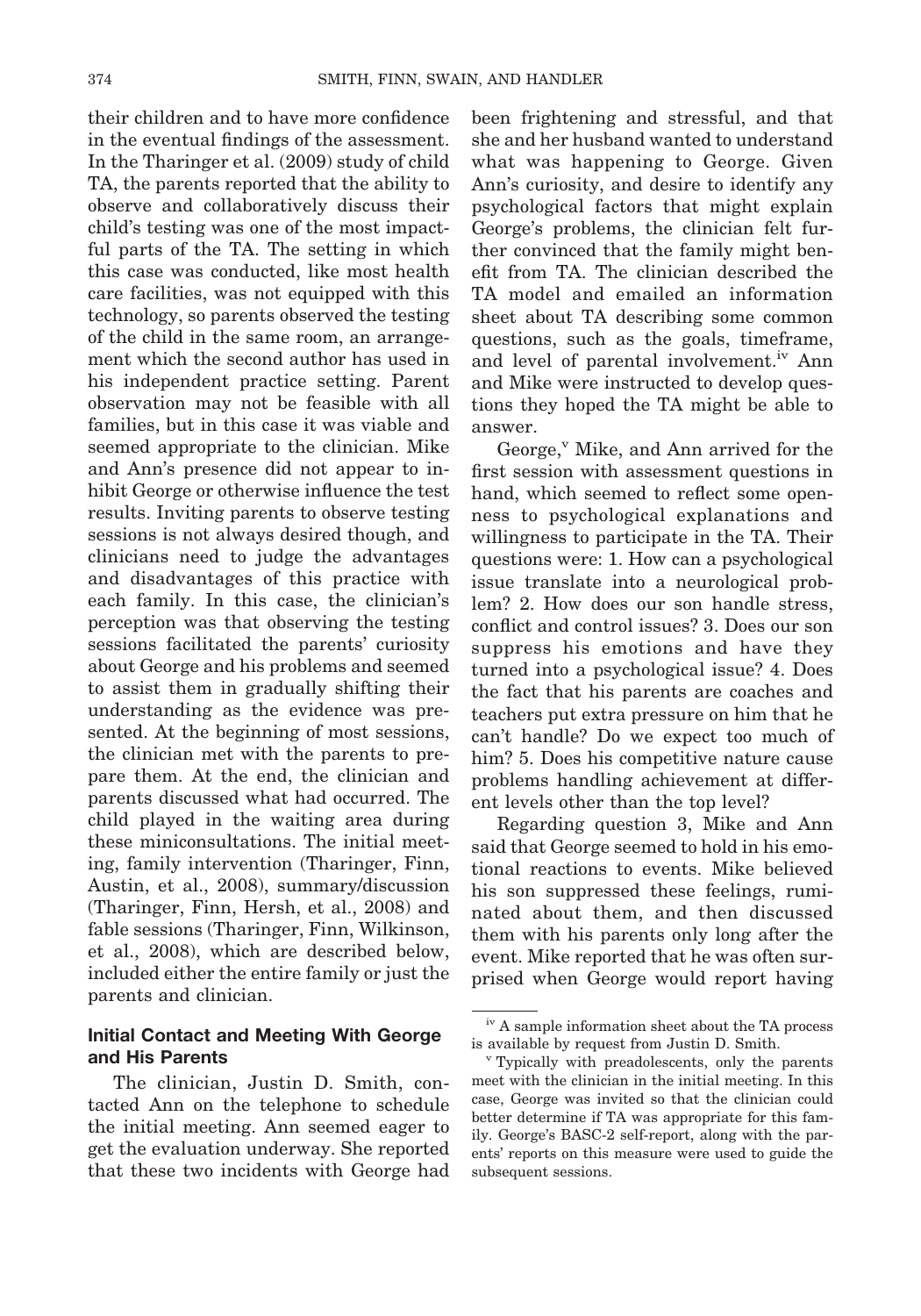their children and to have more confidence in the eventual findings of the assessment. In the Tharinger et al. (2009) study of child TA, the parents reported that the ability to observe and collaboratively discuss their child's testing was one of the most impactful parts of the TA. The setting in which this case was conducted, like most health care facilities, was not equipped with this technology, so parents observed the testing of the child in the same room, an arrangement which the second author has used in his independent practice setting. Parent observation may not be feasible with all families, but in this case it was viable and seemed appropriate to the clinician. Mike and Ann's presence did not appear to inhibit George or otherwise influence the test results. Inviting parents to observe testing sessions is not always desired though, and clinicians need to judge the advantages and disadvantages of this practice with each family. In this case, the clinician's perception was that observing the testing sessions facilitated the parents' curiosity about George and his problems and seemed to assist them in gradually shifting their understanding as the evidence was presented. At the beginning of most sessions, the clinician met with the parents to prepare them. At the end, the clinician and parents discussed what had occurred. The child played in the waiting area during these miniconsultations. The initial meeting, family intervention (Tharinger, Finn, Austin, et al., 2008), summary/discussion (Tharinger, Finn, Hersh, et al., 2008) and fable sessions (Tharinger, Finn, Wilkinson, et al., 2008), which are described below, included either the entire family or just the parents and clinician.

## **Initial Contact and Meeting With George and His Parents**

The clinician, Justin D. Smith, contacted Ann on the telephone to schedule the initial meeting. Ann seemed eager to get the evaluation underway. She reported that these two incidents with George had been frightening and stressful, and that she and her husband wanted to understand what was happening to George. Given Ann's curiosity, and desire to identify any psychological factors that might explain George's problems, the clinician felt further convinced that the family might benefit from TA. The clinician described the TA model and emailed an information sheet about TA describing some common questions, such as the goals, timeframe, and level of parental involvement.<sup>iv</sup> Ann and Mike were instructed to develop questions they hoped the TA might be able to answer.

George,<sup>v</sup> Mike, and Ann arrived for the first session with assessment questions in hand, which seemed to reflect some openness to psychological explanations and willingness to participate in the TA. Their questions were: 1. How can a psychological issue translate into a neurological problem? 2. How does our son handle stress, conflict and control issues? 3. Does our son suppress his emotions and have they turned into a psychological issue? 4. Does the fact that his parents are coaches and teachers put extra pressure on him that he can't handle? Do we expect too much of him? 5. Does his competitive nature cause problems handling achievement at different levels other than the top level?

Regarding question 3, Mike and Ann said that George seemed to hold in his emotional reactions to events. Mike believed his son suppressed these feelings, ruminated about them, and then discussed them with his parents only long after the event. Mike reported that he was often surprised when George would report having

<sup>&</sup>lt;sup>iv</sup> A sample information sheet about the TA process is available by request from Justin D. Smith.

<sup>v</sup> Typically with preadolescents, only the parents meet with the clinician in the initial meeting. In this case, George was invited so that the clinician could better determine if TA was appropriate for this family. George's BASC-2 self-report, along with the parents' reports on this measure were used to guide the subsequent sessions.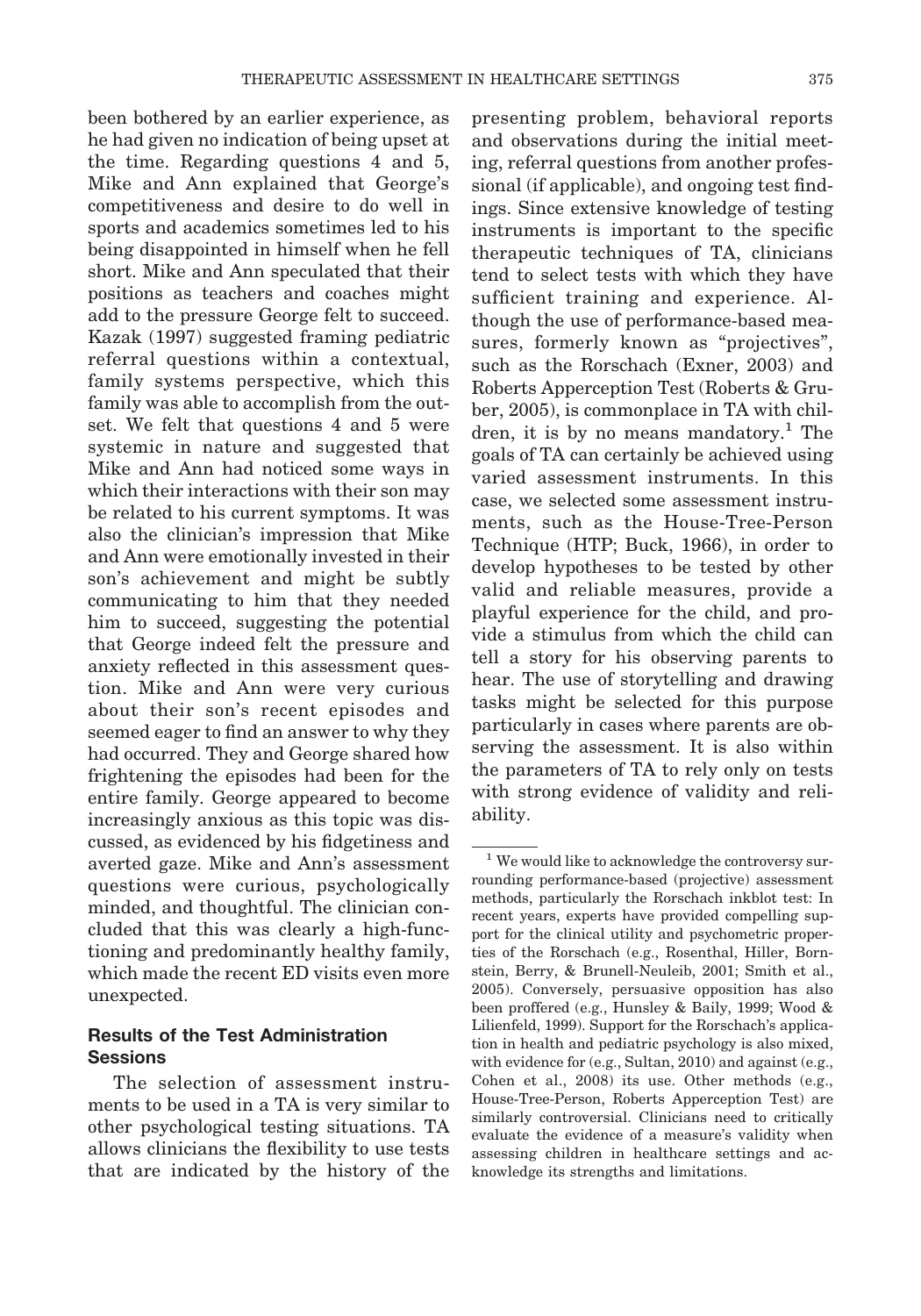been bothered by an earlier experience, as he had given no indication of being upset at the time. Regarding questions 4 and 5, Mike and Ann explained that George's competitiveness and desire to do well in sports and academics sometimes led to his being disappointed in himself when he fell short. Mike and Ann speculated that their positions as teachers and coaches might add to the pressure George felt to succeed. Kazak (1997) suggested framing pediatric referral questions within a contextual, family systems perspective, which this family was able to accomplish from the outset. We felt that questions 4 and 5 were systemic in nature and suggested that Mike and Ann had noticed some ways in which their interactions with their son may be related to his current symptoms. It was also the clinician's impression that Mike and Ann were emotionally invested in their son's achievement and might be subtly communicating to him that they needed him to succeed, suggesting the potential that George indeed felt the pressure and anxiety reflected in this assessment question. Mike and Ann were very curious about their son's recent episodes and seemed eager to find an answer to why they had occurred. They and George shared how frightening the episodes had been for the entire family. George appeared to become increasingly anxious as this topic was discussed, as evidenced by his fidgetiness and averted gaze. Mike and Ann's assessment questions were curious, psychologically minded, and thoughtful. The clinician concluded that this was clearly a high-functioning and predominantly healthy family, which made the recent ED visits even more unexpected.

## **Results of the Test Administration Sessions**

The selection of assessment instruments to be used in a TA is very similar to other psychological testing situations. TA allows clinicians the flexibility to use tests that are indicated by the history of the

presenting problem, behavioral reports and observations during the initial meeting, referral questions from another professional (if applicable), and ongoing test findings. Since extensive knowledge of testing instruments is important to the specific therapeutic techniques of TA, clinicians tend to select tests with which they have sufficient training and experience. Although the use of performance-based measures, formerly known as "projectives", such as the Rorschach (Exner, 2003) and Roberts Apperception Test (Roberts & Gruber, 2005), is commonplace in TA with children, it is by no means mandatory.<sup>1</sup> The goals of TA can certainly be achieved using varied assessment instruments. In this case, we selected some assessment instruments, such as the House-Tree-Person Technique (HTP; Buck, 1966), in order to develop hypotheses to be tested by other valid and reliable measures, provide a playful experience for the child, and provide a stimulus from which the child can tell a story for his observing parents to hear. The use of storytelling and drawing tasks might be selected for this purpose particularly in cases where parents are observing the assessment. It is also within the parameters of TA to rely only on tests with strong evidence of validity and reliability.

<sup>&</sup>lt;sup>1</sup> We would like to acknowledge the controversy surrounding performance-based (projective) assessment methods, particularly the Rorschach inkblot test: In recent years, experts have provided compelling support for the clinical utility and psychometric properties of the Rorschach (e.g., Rosenthal, Hiller, Bornstein, Berry, & Brunell-Neuleib, 2001; Smith et al., 2005). Conversely, persuasive opposition has also been proffered (e.g., Hunsley & Baily, 1999; Wood & Lilienfeld, 1999). Support for the Rorschach's application in health and pediatric psychology is also mixed, with evidence for (e.g., Sultan, 2010) and against (e.g., Cohen et al., 2008) its use. Other methods (e.g., House-Tree-Person, Roberts Apperception Test) are similarly controversial. Clinicians need to critically evaluate the evidence of a measure's validity when assessing children in healthcare settings and acknowledge its strengths and limitations.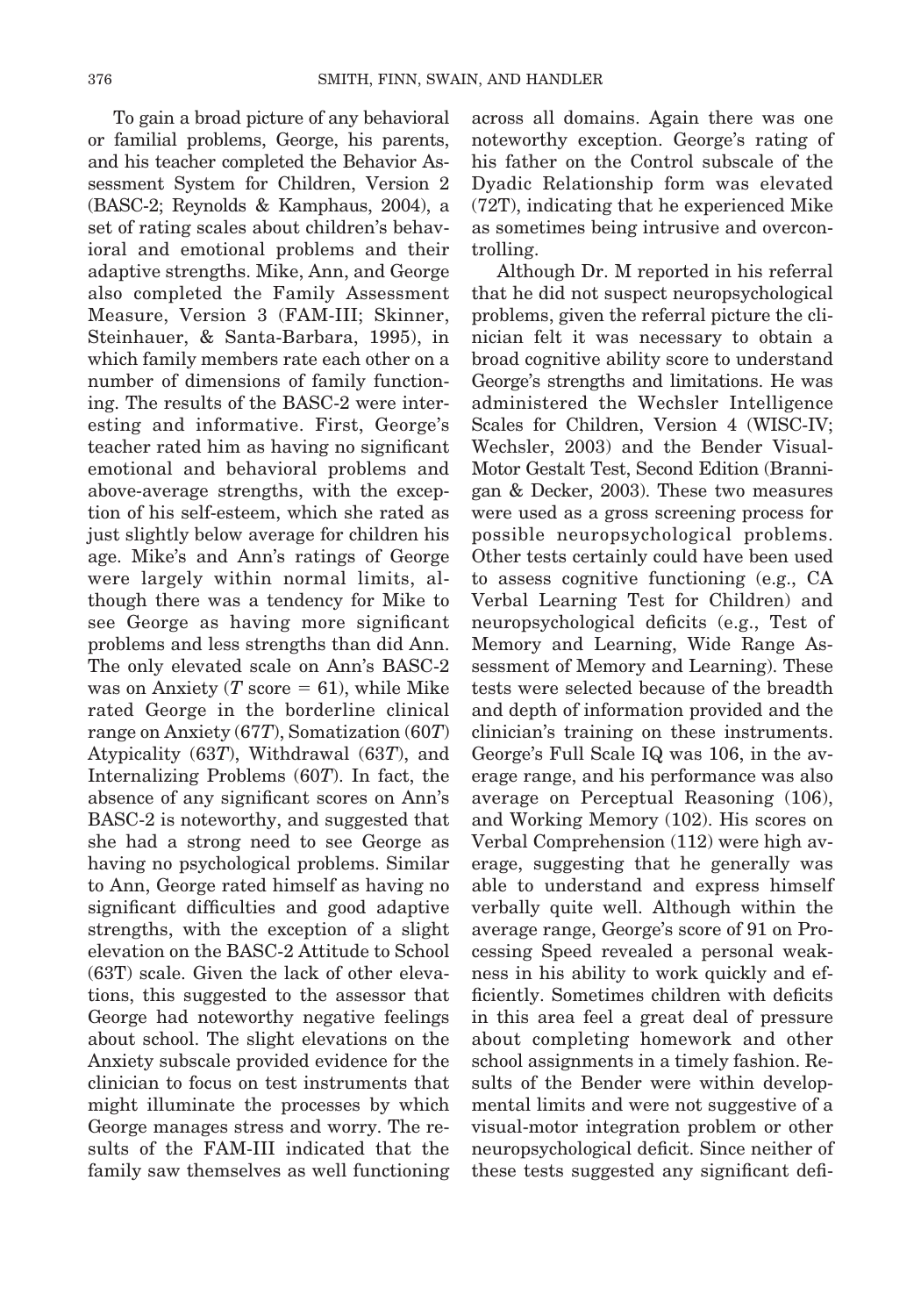To gain a broad picture of any behavioral or familial problems, George, his parents, and his teacher completed the Behavior Assessment System for Children, Version 2 (BASC-2; Reynolds & Kamphaus, 2004), a set of rating scales about children's behavioral and emotional problems and their adaptive strengths. Mike, Ann, and George also completed the Family Assessment Measure, Version 3 (FAM-III; Skinner, Steinhauer, & Santa-Barbara, 1995), in which family members rate each other on a number of dimensions of family functioning. The results of the BASC-2 were interesting and informative. First, George's teacher rated him as having no significant emotional and behavioral problems and above-average strengths, with the exception of his self-esteem, which she rated as just slightly below average for children his age. Mike's and Ann's ratings of George were largely within normal limits, although there was a tendency for Mike to see George as having more significant problems and less strengths than did Ann. The only elevated scale on Ann's BASC-2 was on Anxiety  $(T \text{ score} = 61)$ , while Mike rated George in the borderline clinical range on Anxiety (67*T*), Somatization (60*T*) Atypicality (63*T*), Withdrawal (63*T*), and Internalizing Problems (60*T*). In fact, the absence of any significant scores on Ann's BASC-2 is noteworthy, and suggested that she had a strong need to see George as having no psychological problems. Similar to Ann, George rated himself as having no significant difficulties and good adaptive strengths, with the exception of a slight elevation on the BASC-2 Attitude to School (63T) scale. Given the lack of other elevations, this suggested to the assessor that George had noteworthy negative feelings about school. The slight elevations on the Anxiety subscale provided evidence for the clinician to focus on test instruments that might illuminate the processes by which George manages stress and worry. The results of the FAM-III indicated that the family saw themselves as well functioning

across all domains. Again there was one noteworthy exception. George's rating of his father on the Control subscale of the Dyadic Relationship form was elevated (72T), indicating that he experienced Mike as sometimes being intrusive and overcontrolling.

Although Dr. M reported in his referral that he did not suspect neuropsychological problems, given the referral picture the clinician felt it was necessary to obtain a broad cognitive ability score to understand George's strengths and limitations. He was administered the Wechsler Intelligence Scales for Children, Version 4 (WISC-IV; Wechsler, 2003) and the Bender Visual-Motor Gestalt Test, Second Edition (Brannigan & Decker, 2003). These two measures were used as a gross screening process for possible neuropsychological problems. Other tests certainly could have been used to assess cognitive functioning (e.g., CA Verbal Learning Test for Children) and neuropsychological deficits (e.g., Test of Memory and Learning, Wide Range Assessment of Memory and Learning). These tests were selected because of the breadth and depth of information provided and the clinician's training on these instruments. George's Full Scale IQ was 106, in the average range, and his performance was also average on Perceptual Reasoning (106), and Working Memory (102). His scores on Verbal Comprehension (112) were high average, suggesting that he generally was able to understand and express himself verbally quite well. Although within the average range, George's score of 91 on Processing Speed revealed a personal weakness in his ability to work quickly and efficiently. Sometimes children with deficits in this area feel a great deal of pressure about completing homework and other school assignments in a timely fashion. Results of the Bender were within developmental limits and were not suggestive of a visual-motor integration problem or other neuropsychological deficit. Since neither of these tests suggested any significant defi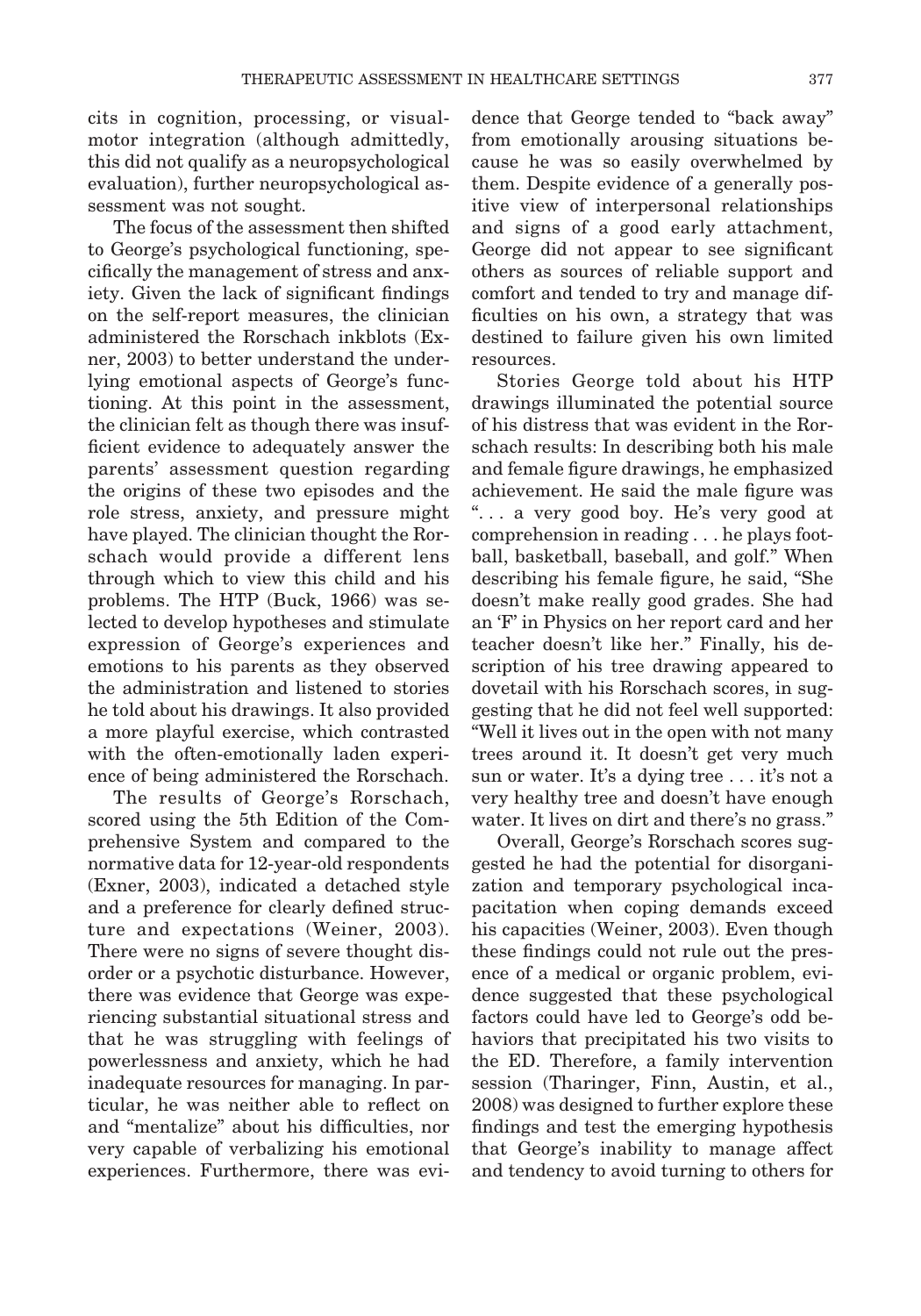cits in cognition, processing, or visualmotor integration (although admittedly, this did not qualify as a neuropsychological evaluation), further neuropsychological assessment was not sought.

The focus of the assessment then shifted to George's psychological functioning, specifically the management of stress and anxiety. Given the lack of significant findings on the self-report measures, the clinician administered the Rorschach inkblots (Exner, 2003) to better understand the underlying emotional aspects of George's functioning. At this point in the assessment, the clinician felt as though there was insufficient evidence to adequately answer the parents' assessment question regarding the origins of these two episodes and the role stress, anxiety, and pressure might have played. The clinician thought the Rorschach would provide a different lens through which to view this child and his problems. The HTP (Buck, 1966) was selected to develop hypotheses and stimulate expression of George's experiences and emotions to his parents as they observed the administration and listened to stories he told about his drawings. It also provided a more playful exercise, which contrasted with the often-emotionally laden experience of being administered the Rorschach.

The results of George's Rorschach, scored using the 5th Edition of the Comprehensive System and compared to the normative data for 12-year-old respondents (Exner, 2003), indicated a detached style and a preference for clearly defined structure and expectations (Weiner, 2003). There were no signs of severe thought disorder or a psychotic disturbance. However, there was evidence that George was experiencing substantial situational stress and that he was struggling with feelings of powerlessness and anxiety, which he had inadequate resources for managing. In particular, he was neither able to reflect on and "mentalize" about his difficulties, nor very capable of verbalizing his emotional experiences. Furthermore, there was evi-

dence that George tended to "back away" from emotionally arousing situations because he was so easily overwhelmed by them. Despite evidence of a generally positive view of interpersonal relationships and signs of a good early attachment, George did not appear to see significant others as sources of reliable support and comfort and tended to try and manage difficulties on his own, a strategy that was destined to failure given his own limited resources.

Stories George told about his HTP drawings illuminated the potential source of his distress that was evident in the Rorschach results: In describing both his male and female figure drawings, he emphasized achievement. He said the male figure was ". . . a very good boy. He's very good at comprehension in reading . . . he plays football, basketball, baseball, and golf." When describing his female figure, he said, "She doesn't make really good grades. She had an 'F' in Physics on her report card and her teacher doesn't like her." Finally, his description of his tree drawing appeared to dovetail with his Rorschach scores, in suggesting that he did not feel well supported: "Well it lives out in the open with not many trees around it. It doesn't get very much sun or water. It's a dying tree . . . it's not a very healthy tree and doesn't have enough water. It lives on dirt and there's no grass."

Overall, George's Rorschach scores suggested he had the potential for disorganization and temporary psychological incapacitation when coping demands exceed his capacities (Weiner, 2003). Even though these findings could not rule out the presence of a medical or organic problem, evidence suggested that these psychological factors could have led to George's odd behaviors that precipitated his two visits to the ED. Therefore, a family intervention session (Tharinger, Finn, Austin, et al., 2008) was designed to further explore these findings and test the emerging hypothesis that George's inability to manage affect and tendency to avoid turning to others for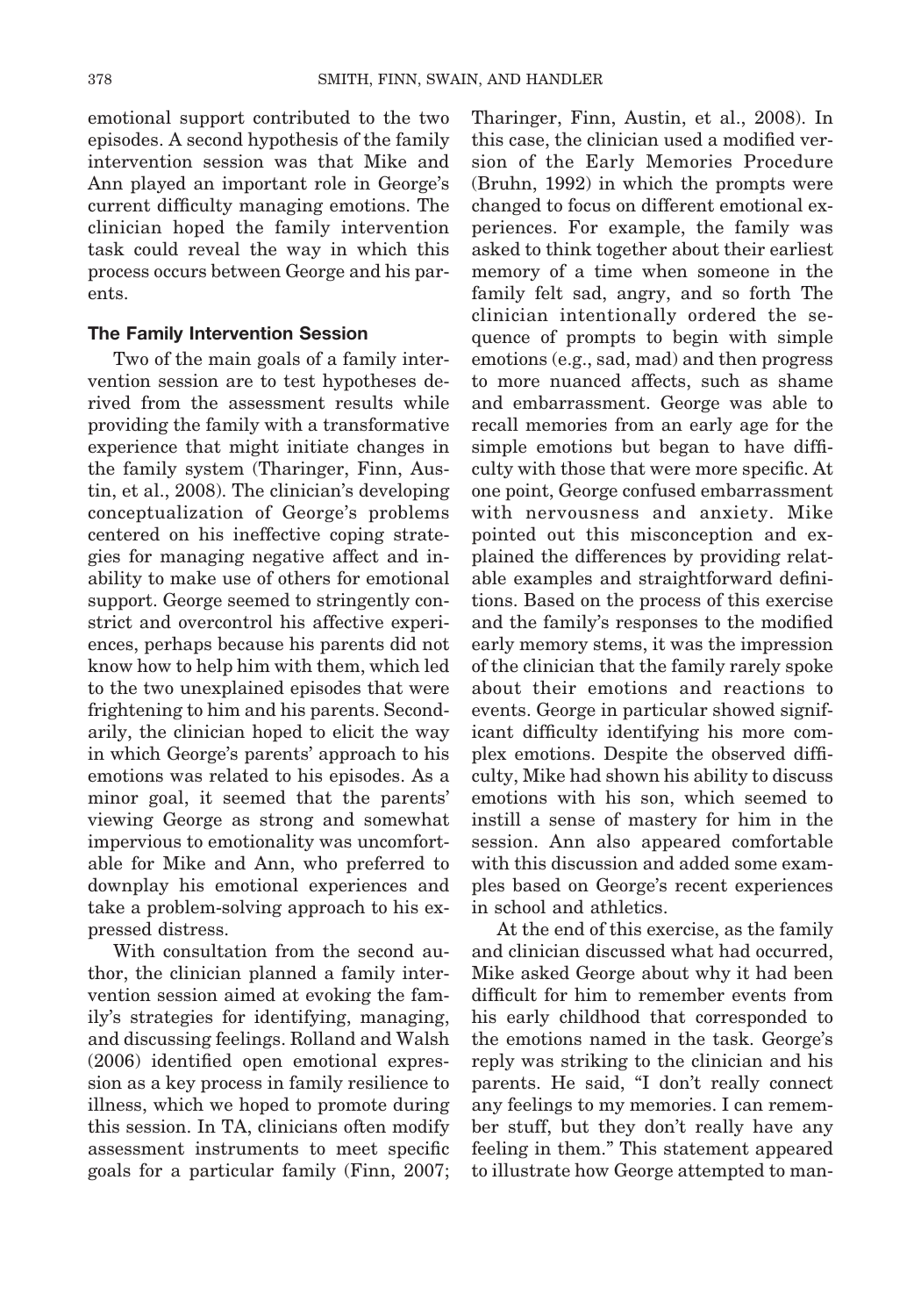emotional support contributed to the two episodes. A second hypothesis of the family intervention session was that Mike and Ann played an important role in George's current difficulty managing emotions. The clinician hoped the family intervention task could reveal the way in which this process occurs between George and his parents.

#### **The Family Intervention Session**

Two of the main goals of a family intervention session are to test hypotheses derived from the assessment results while providing the family with a transformative experience that might initiate changes in the family system (Tharinger, Finn, Austin, et al., 2008). The clinician's developing conceptualization of George's problems centered on his ineffective coping strategies for managing negative affect and inability to make use of others for emotional support. George seemed to stringently constrict and overcontrol his affective experiences, perhaps because his parents did not know how to help him with them, which led to the two unexplained episodes that were frightening to him and his parents. Secondarily, the clinician hoped to elicit the way in which George's parents' approach to his emotions was related to his episodes. As a minor goal, it seemed that the parents' viewing George as strong and somewhat impervious to emotionality was uncomfortable for Mike and Ann, who preferred to downplay his emotional experiences and take a problem-solving approach to his expressed distress.

With consultation from the second author, the clinician planned a family intervention session aimed at evoking the family's strategies for identifying, managing, and discussing feelings. Rolland and Walsh (2006) identified open emotional expression as a key process in family resilience to illness, which we hoped to promote during this session. In TA, clinicians often modify assessment instruments to meet specific goals for a particular family (Finn, 2007;

Tharinger, Finn, Austin, et al., 2008). In this case, the clinician used a modified version of the Early Memories Procedure (Bruhn, 1992) in which the prompts were changed to focus on different emotional experiences. For example, the family was asked to think together about their earliest memory of a time when someone in the family felt sad, angry, and so forth The clinician intentionally ordered the sequence of prompts to begin with simple emotions (e.g., sad, mad) and then progress to more nuanced affects, such as shame and embarrassment. George was able to recall memories from an early age for the simple emotions but began to have difficulty with those that were more specific. At one point, George confused embarrassment with nervousness and anxiety. Mike pointed out this misconception and explained the differences by providing relatable examples and straightforward definitions. Based on the process of this exercise and the family's responses to the modified early memory stems, it was the impression of the clinician that the family rarely spoke about their emotions and reactions to events. George in particular showed significant difficulty identifying his more complex emotions. Despite the observed difficulty, Mike had shown his ability to discuss emotions with his son, which seemed to instill a sense of mastery for him in the session. Ann also appeared comfortable with this discussion and added some examples based on George's recent experiences in school and athletics.

At the end of this exercise, as the family and clinician discussed what had occurred, Mike asked George about why it had been difficult for him to remember events from his early childhood that corresponded to the emotions named in the task. George's reply was striking to the clinician and his parents. He said, "I don't really connect any feelings to my memories. I can remember stuff, but they don't really have any feeling in them." This statement appeared to illustrate how George attempted to man-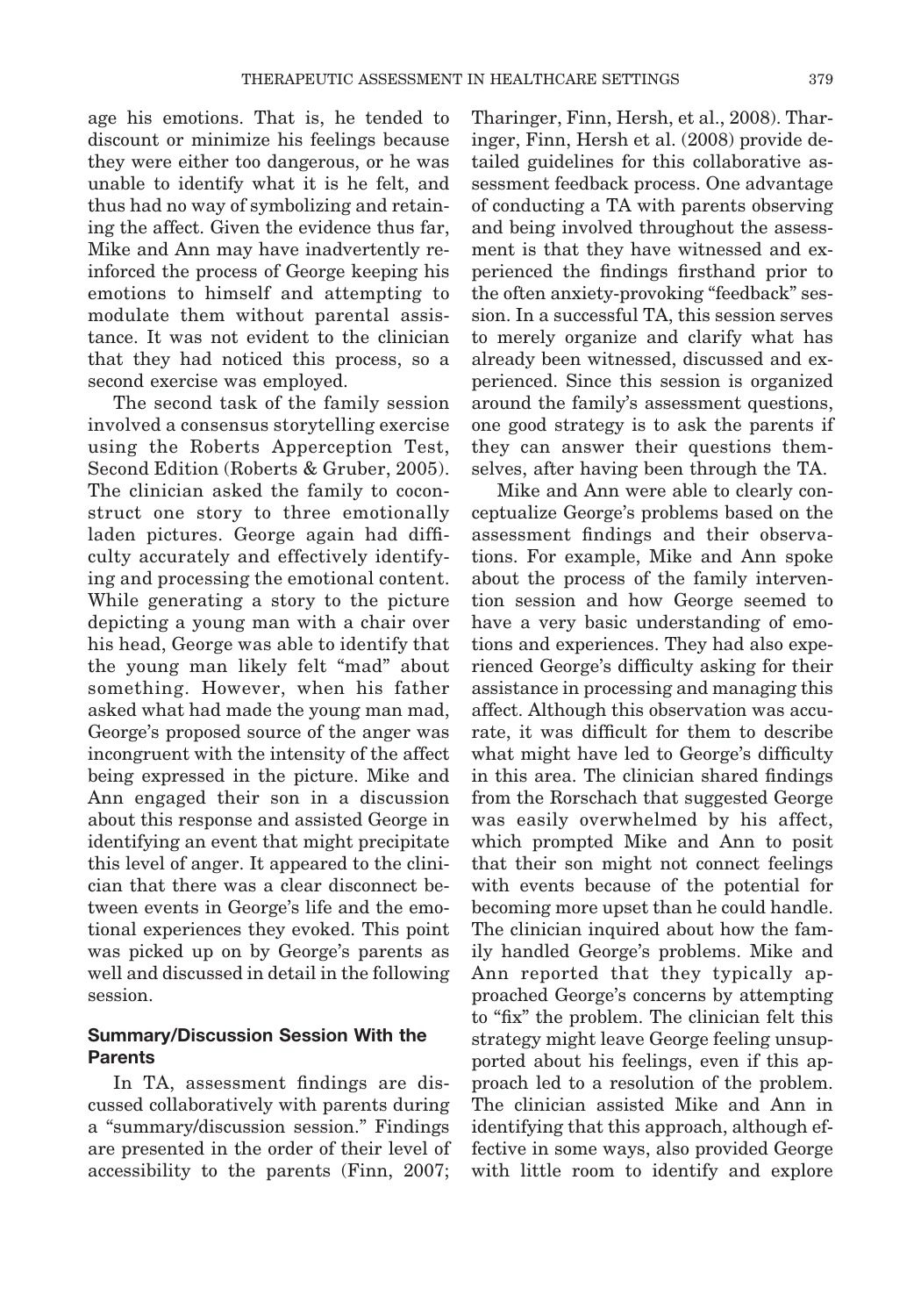age his emotions. That is, he tended to discount or minimize his feelings because they were either too dangerous, or he was unable to identify what it is he felt, and thus had no way of symbolizing and retaining the affect. Given the evidence thus far, Mike and Ann may have inadvertently reinforced the process of George keeping his emotions to himself and attempting to modulate them without parental assistance. It was not evident to the clinician that they had noticed this process, so a second exercise was employed.

The second task of the family session involved a consensus storytelling exercise using the Roberts Apperception Test, Second Edition (Roberts & Gruber, 2005). The clinician asked the family to coconstruct one story to three emotionally laden pictures. George again had difficulty accurately and effectively identifying and processing the emotional content. While generating a story to the picture depicting a young man with a chair over his head, George was able to identify that the young man likely felt "mad" about something. However, when his father asked what had made the young man mad, George's proposed source of the anger was incongruent with the intensity of the affect being expressed in the picture. Mike and Ann engaged their son in a discussion about this response and assisted George in identifying an event that might precipitate this level of anger. It appeared to the clinician that there was a clear disconnect between events in George's life and the emotional experiences they evoked. This point was picked up on by George's parents as well and discussed in detail in the following session.

## **Summary/Discussion Session With the Parents**

In TA, assessment findings are discussed collaboratively with parents during a "summary/discussion session." Findings are presented in the order of their level of accessibility to the parents (Finn, 2007;

Tharinger, Finn, Hersh, et al., 2008). Tharinger, Finn, Hersh et al. (2008) provide detailed guidelines for this collaborative assessment feedback process. One advantage of conducting a TA with parents observing and being involved throughout the assessment is that they have witnessed and experienced the findings firsthand prior to the often anxiety-provoking "feedback" session. In a successful TA, this session serves to merely organize and clarify what has already been witnessed, discussed and experienced. Since this session is organized around the family's assessment questions, one good strategy is to ask the parents if they can answer their questions themselves, after having been through the TA.

Mike and Ann were able to clearly conceptualize George's problems based on the assessment findings and their observations. For example, Mike and Ann spoke about the process of the family intervention session and how George seemed to have a very basic understanding of emotions and experiences. They had also experienced George's difficulty asking for their assistance in processing and managing this affect. Although this observation was accurate, it was difficult for them to describe what might have led to George's difficulty in this area. The clinician shared findings from the Rorschach that suggested George was easily overwhelmed by his affect, which prompted Mike and Ann to posit that their son might not connect feelings with events because of the potential for becoming more upset than he could handle. The clinician inquired about how the family handled George's problems. Mike and Ann reported that they typically approached George's concerns by attempting to "fix" the problem. The clinician felt this strategy might leave George feeling unsupported about his feelings, even if this approach led to a resolution of the problem. The clinician assisted Mike and Ann in identifying that this approach, although effective in some ways, also provided George with little room to identify and explore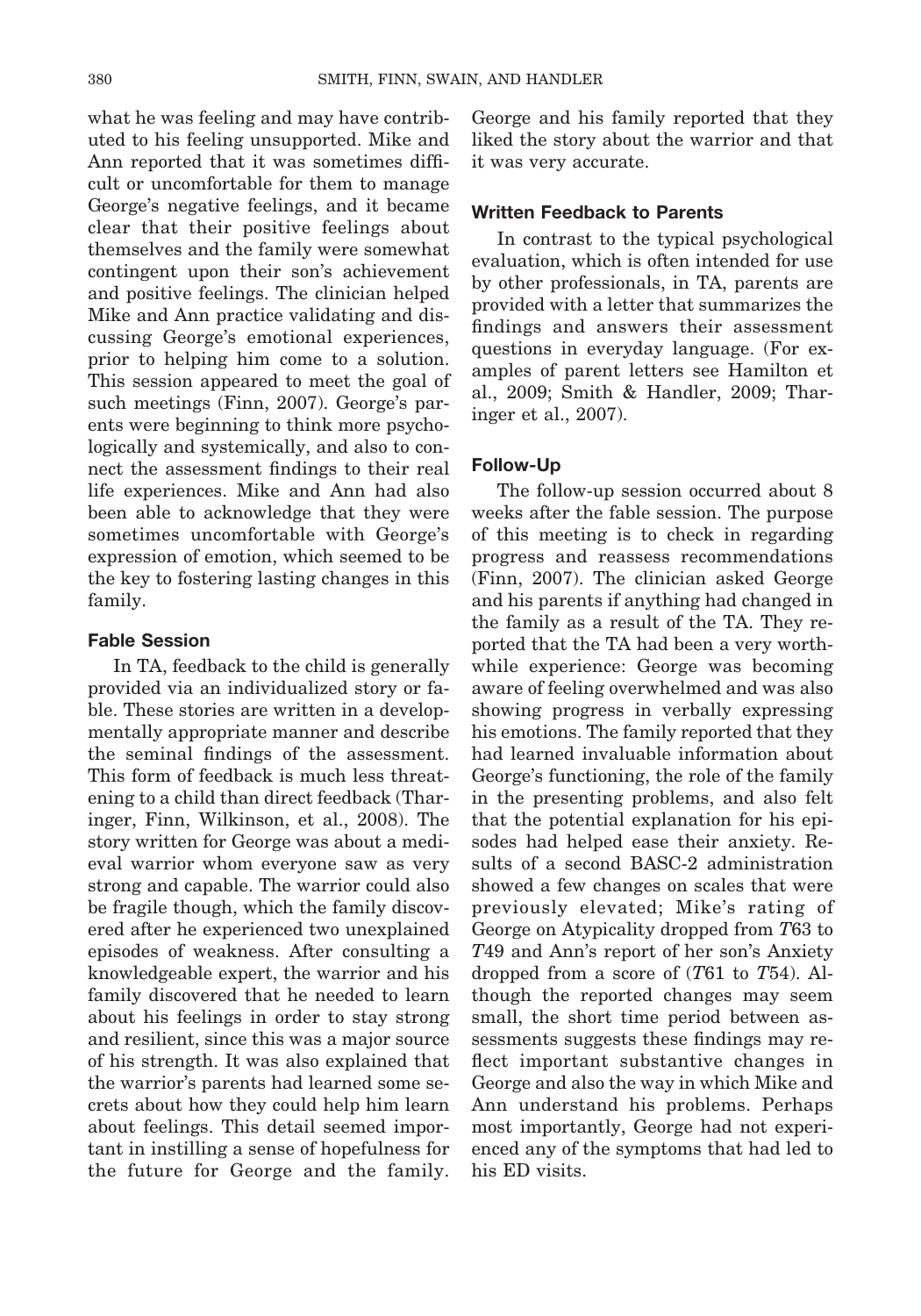what he was feeling and may have contributed to his feeling unsupported. Mike and Ann reported that it was sometimes difficult or uncomfortable for them to manage George's negative feelings, and it became clear that their positive feelings about themselves and the family were somewhat contingent upon their son's achievement and positive feelings. The clinician helped Mike and Ann practice validating and discussing George's emotional experiences, prior to helping him come to a solution. This session appeared to meet the goal of such meetings (Finn, 2007). George's parents were beginning to think more psychologically and systemically, and also to connect the assessment findings to their real life experiences. Mike and Ann had also been able to acknowledge that they were sometimes uncomfortable with George's expression of emotion, which seemed to be the key to fostering lasting changes in this family.

### **Fable Session**

In TA, feedback to the child is generally provided via an individualized story or fable. These stories are written in a developmentally appropriate manner and describe the seminal findings of the assessment. This form of feedback is much less threatening to a child than direct feedback (Tharinger, Finn, Wilkinson, et al., 2008). The story written for George was about a medieval warrior whom everyone saw as very strong and capable. The warrior could also be fragile though, which the family discovered after he experienced two unexplained episodes of weakness. After consulting a knowledgeable expert, the warrior and his family discovered that he needed to learn about his feelings in order to stay strong and resilient, since this was a major source of his strength. It was also explained that the warrior's parents had learned some secrets about how they could help him learn about feelings. This detail seemed important in instilling a sense of hopefulness for the future for George and the family.

George and his family reported that they liked the story about the warrior and that it was very accurate.

#### **Written Feedback to Parents**

In contrast to the typical psychological evaluation, which is often intended for use by other professionals, in TA, parents are provided with a letter that summarizes the findings and answers their assessment questions in everyday language. (For examples of parent letters see Hamilton et al., 2009; Smith & Handler, 2009; Tharinger et al., 2007).

#### **Follow-Up**

The follow-up session occurred about 8 weeks after the fable session. The purpose of this meeting is to check in regarding progress and reassess recommendations (Finn, 2007). The clinician asked George and his parents if anything had changed in the family as a result of the TA. They reported that the TA had been a very worthwhile experience: George was becoming aware of feeling overwhelmed and was also showing progress in verbally expressing his emotions. The family reported that they had learned invaluable information about George's functioning, the role of the family in the presenting problems, and also felt that the potential explanation for his episodes had helped ease their anxiety. Results of a second BASC-2 administration showed a few changes on scales that were previously elevated; Mike's rating of George on Atypicality dropped from *T*63 to *T*49 and Ann's report of her son's Anxiety dropped from a score of (*T*61 to *T*54). Although the reported changes may seem small, the short time period between assessments suggests these findings may reflect important substantive changes in George and also the way in which Mike and Ann understand his problems. Perhaps most importantly, George had not experienced any of the symptoms that had led to his ED visits.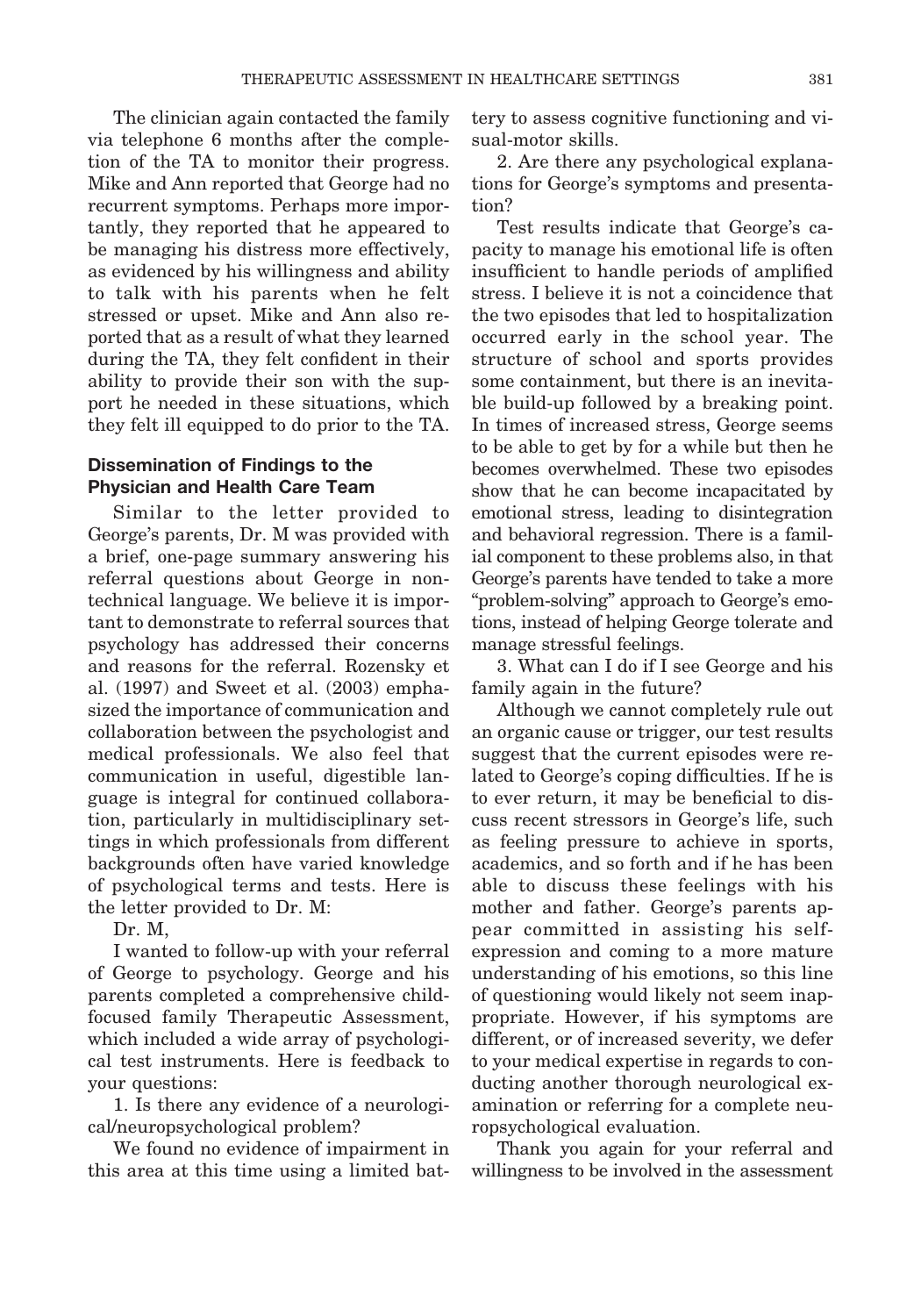The clinician again contacted the family via telephone 6 months after the completion of the TA to monitor their progress. Mike and Ann reported that George had no recurrent symptoms. Perhaps more importantly, they reported that he appeared to be managing his distress more effectively, as evidenced by his willingness and ability to talk with his parents when he felt stressed or upset. Mike and Ann also reported that as a result of what they learned during the TA, they felt confident in their ability to provide their son with the support he needed in these situations, which they felt ill equipped to do prior to the TA.

## **Dissemination of Findings to the Physician and Health Care Team**

Similar to the letter provided to George's parents, Dr. M was provided with a brief, one-page summary answering his referral questions about George in nontechnical language. We believe it is important to demonstrate to referral sources that psychology has addressed their concerns and reasons for the referral. Rozensky et al. (1997) and Sweet et al. (2003) emphasized the importance of communication and collaboration between the psychologist and medical professionals. We also feel that communication in useful, digestible language is integral for continued collaboration, particularly in multidisciplinary settings in which professionals from different backgrounds often have varied knowledge of psychological terms and tests. Here is the letter provided to Dr. M:

Dr. M,

I wanted to follow-up with your referral of George to psychology. George and his parents completed a comprehensive childfocused family Therapeutic Assessment, which included a wide array of psychological test instruments. Here is feedback to your questions:

1. Is there any evidence of a neurological/neuropsychological problem?

We found no evidence of impairment in this area at this time using a limited bat-

tery to assess cognitive functioning and visual-motor skills.

2. Are there any psychological explanations for George's symptoms and presentation?

Test results indicate that George's capacity to manage his emotional life is often insufficient to handle periods of amplified stress. I believe it is not a coincidence that the two episodes that led to hospitalization occurred early in the school year. The structure of school and sports provides some containment, but there is an inevitable build-up followed by a breaking point. In times of increased stress, George seems to be able to get by for a while but then he becomes overwhelmed. These two episodes show that he can become incapacitated by emotional stress, leading to disintegration and behavioral regression. There is a familial component to these problems also, in that George's parents have tended to take a more "problem-solving" approach to George's emotions, instead of helping George tolerate and manage stressful feelings.

3. What can I do if I see George and his family again in the future?

Although we cannot completely rule out an organic cause or trigger, our test results suggest that the current episodes were related to George's coping difficulties. If he is to ever return, it may be beneficial to discuss recent stressors in George's life, such as feeling pressure to achieve in sports, academics, and so forth and if he has been able to discuss these feelings with his mother and father. George's parents appear committed in assisting his selfexpression and coming to a more mature understanding of his emotions, so this line of questioning would likely not seem inappropriate. However, if his symptoms are different, or of increased severity, we defer to your medical expertise in regards to conducting another thorough neurological examination or referring for a complete neuropsychological evaluation.

Thank you again for your referral and willingness to be involved in the assessment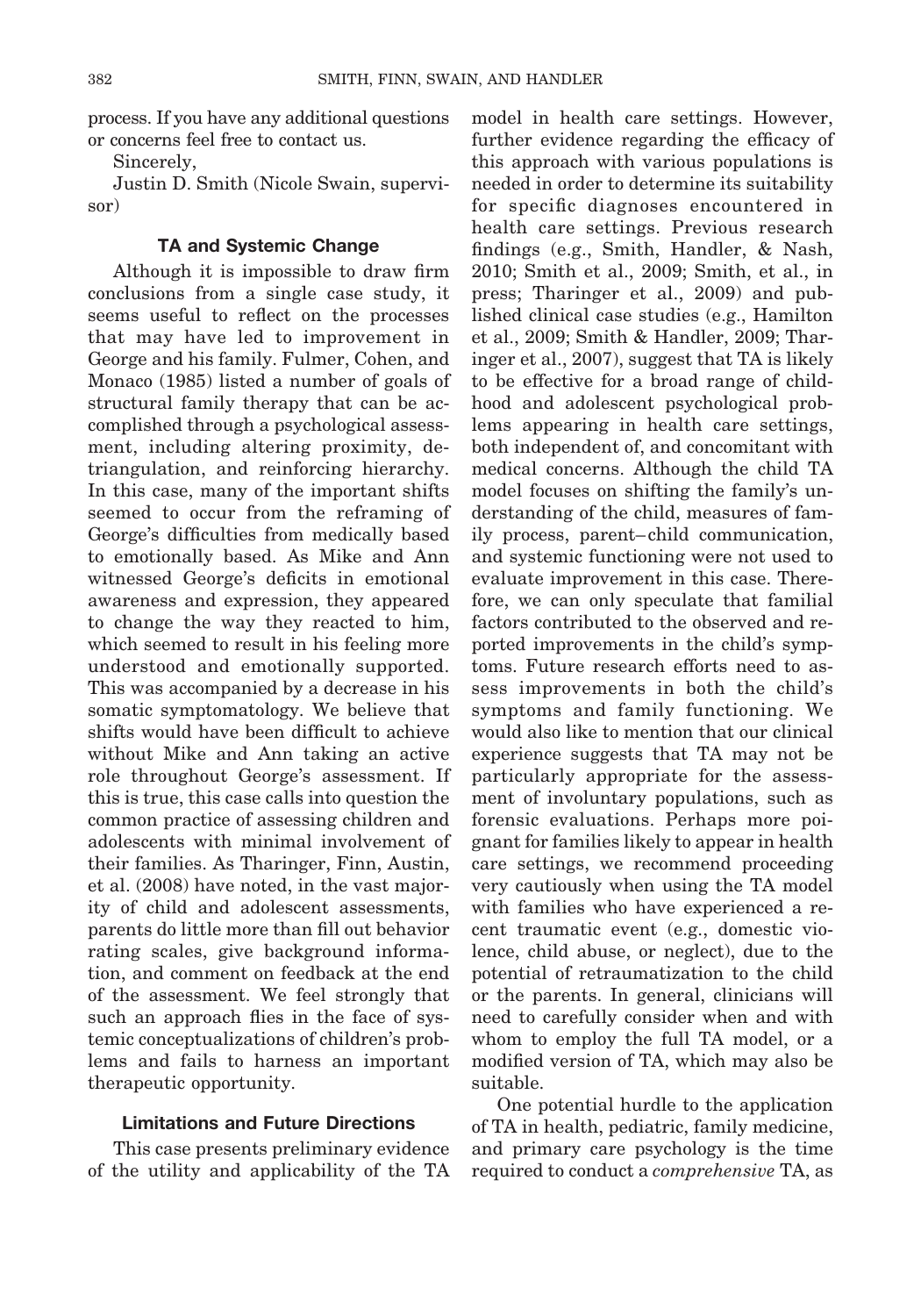process. If you have any additional questions or concerns feel free to contact us.

Sincerely,

Justin D. Smith (Nicole Swain, supervisor)

### **TA and Systemic Change**

Although it is impossible to draw firm conclusions from a single case study, it seems useful to reflect on the processes that may have led to improvement in George and his family. Fulmer, Cohen, and Monaco (1985) listed a number of goals of structural family therapy that can be accomplished through a psychological assessment, including altering proximity, detriangulation, and reinforcing hierarchy. In this case, many of the important shifts seemed to occur from the reframing of George's difficulties from medically based to emotionally based. As Mike and Ann witnessed George's deficits in emotional awareness and expression, they appeared to change the way they reacted to him, which seemed to result in his feeling more understood and emotionally supported. This was accompanied by a decrease in his somatic symptomatology. We believe that shifts would have been difficult to achieve without Mike and Ann taking an active role throughout George's assessment. If this is true, this case calls into question the common practice of assessing children and adolescents with minimal involvement of their families. As Tharinger, Finn, Austin, et al. (2008) have noted, in the vast majority of child and adolescent assessments, parents do little more than fill out behavior rating scales, give background information, and comment on feedback at the end of the assessment. We feel strongly that such an approach flies in the face of systemic conceptualizations of children's problems and fails to harness an important therapeutic opportunity.

### **Limitations and Future Directions**

This case presents preliminary evidence of the utility and applicability of the TA

model in health care settings. However, further evidence regarding the efficacy of this approach with various populations is needed in order to determine its suitability for specific diagnoses encountered in health care settings. Previous research findings (e.g., Smith, Handler, & Nash, 2010; Smith et al., 2009; Smith, et al., in press; Tharinger et al., 2009) and published clinical case studies (e.g., Hamilton et al., 2009; Smith & Handler, 2009; Tharinger et al., 2007), suggest that TA is likely to be effective for a broad range of childhood and adolescent psychological problems appearing in health care settings, both independent of, and concomitant with medical concerns. Although the child TA model focuses on shifting the family's understanding of the child, measures of family process, parent– child communication, and systemic functioning were not used to evaluate improvement in this case. Therefore, we can only speculate that familial factors contributed to the observed and reported improvements in the child's symptoms. Future research efforts need to assess improvements in both the child's symptoms and family functioning. We would also like to mention that our clinical experience suggests that TA may not be particularly appropriate for the assessment of involuntary populations, such as forensic evaluations. Perhaps more poignant for families likely to appear in health care settings, we recommend proceeding very cautiously when using the TA model with families who have experienced a recent traumatic event (e.g., domestic violence, child abuse, or neglect), due to the potential of retraumatization to the child or the parents. In general, clinicians will need to carefully consider when and with whom to employ the full TA model, or a modified version of TA, which may also be suitable.

One potential hurdle to the application of TA in health, pediatric, family medicine, and primary care psychology is the time required to conduct a *comprehensive* TA, as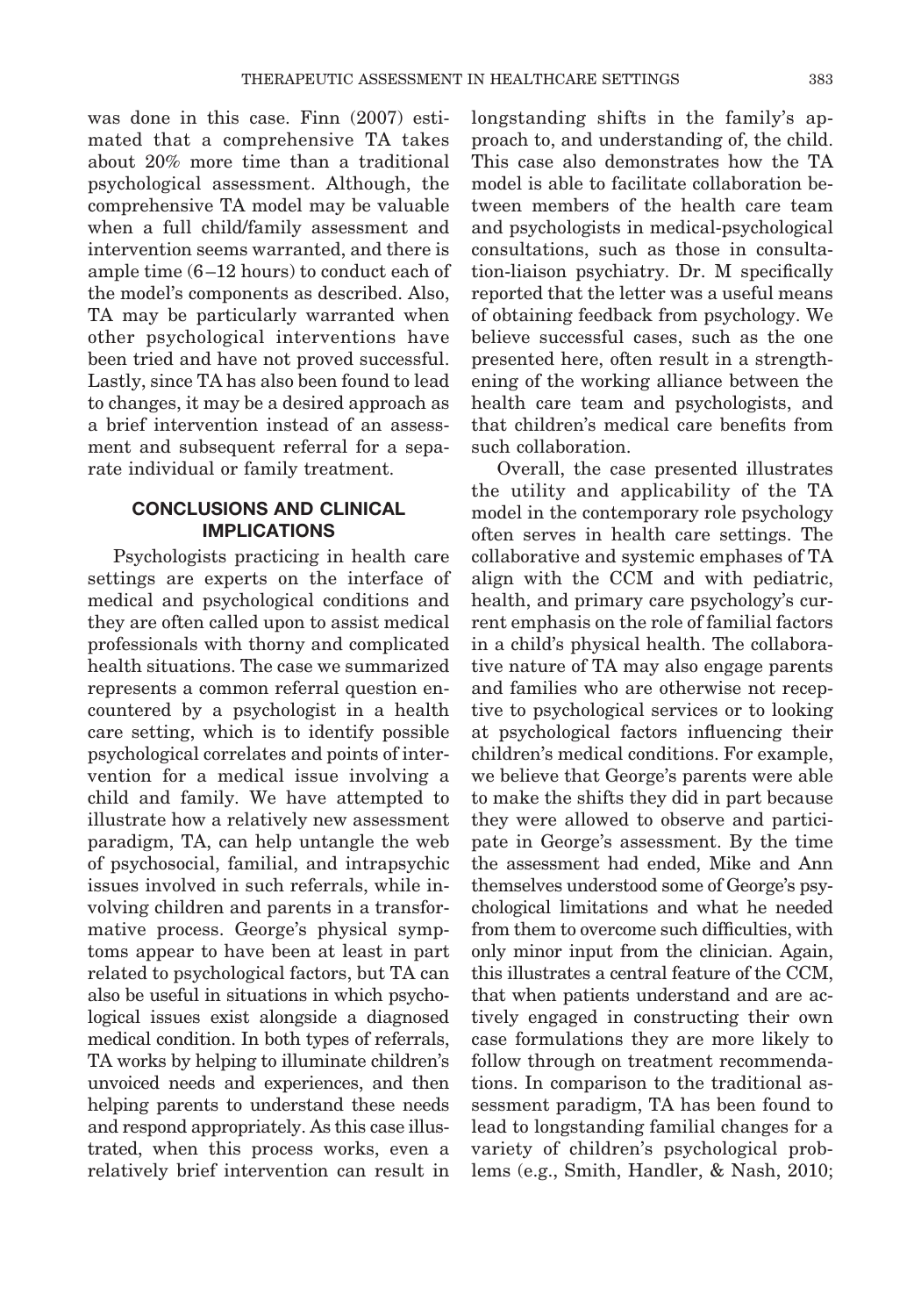was done in this case. Finn (2007) estimated that a comprehensive TA takes about 20% more time than a traditional psychological assessment. Although, the comprehensive TA model may be valuable when a full child/family assessment and intervention seems warranted, and there is ample time (6 –12 hours) to conduct each of the model's components as described. Also, TA may be particularly warranted when other psychological interventions have been tried and have not proved successful. Lastly, since TA has also been found to lead to changes, it may be a desired approach as a brief intervention instead of an assessment and subsequent referral for a separate individual or family treatment.

## **CONCLUSIONS AND CLINICAL IMPLICATIONS**

Psychologists practicing in health care settings are experts on the interface of medical and psychological conditions and they are often called upon to assist medical professionals with thorny and complicated health situations. The case we summarized represents a common referral question encountered by a psychologist in a health care setting, which is to identify possible psychological correlates and points of intervention for a medical issue involving a child and family. We have attempted to illustrate how a relatively new assessment paradigm, TA, can help untangle the web of psychosocial, familial, and intrapsychic issues involved in such referrals, while involving children and parents in a transformative process. George's physical symptoms appear to have been at least in part related to psychological factors, but TA can also be useful in situations in which psychological issues exist alongside a diagnosed medical condition. In both types of referrals, TA works by helping to illuminate children's unvoiced needs and experiences, and then helping parents to understand these needs and respond appropriately. As this case illustrated, when this process works, even a relatively brief intervention can result in

longstanding shifts in the family's approach to, and understanding of, the child. This case also demonstrates how the TA model is able to facilitate collaboration between members of the health care team and psychologists in medical-psychological consultations, such as those in consultation-liaison psychiatry. Dr. M specifically reported that the letter was a useful means of obtaining feedback from psychology. We believe successful cases, such as the one presented here, often result in a strengthening of the working alliance between the health care team and psychologists, and that children's medical care benefits from such collaboration.

Overall, the case presented illustrates the utility and applicability of the TA model in the contemporary role psychology often serves in health care settings. The collaborative and systemic emphases of TA align with the CCM and with pediatric, health, and primary care psychology's current emphasis on the role of familial factors in a child's physical health. The collaborative nature of TA may also engage parents and families who are otherwise not receptive to psychological services or to looking at psychological factors influencing their children's medical conditions. For example, we believe that George's parents were able to make the shifts they did in part because they were allowed to observe and participate in George's assessment. By the time the assessment had ended, Mike and Ann themselves understood some of George's psychological limitations and what he needed from them to overcome such difficulties, with only minor input from the clinician. Again, this illustrates a central feature of the CCM, that when patients understand and are actively engaged in constructing their own case formulations they are more likely to follow through on treatment recommendations. In comparison to the traditional assessment paradigm, TA has been found to lead to longstanding familial changes for a variety of children's psychological problems (e.g., Smith, Handler, & Nash, 2010;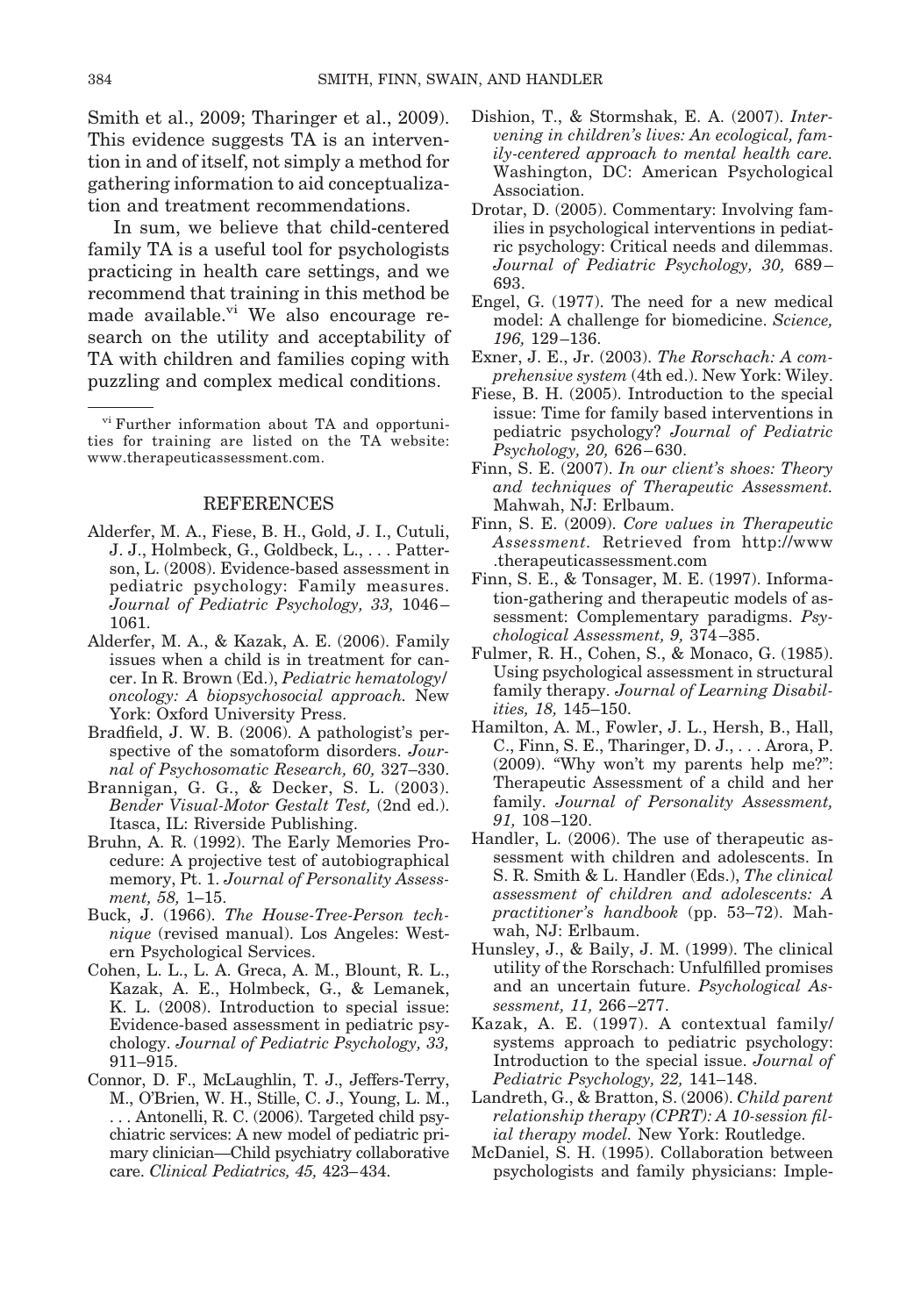Smith et al., 2009; Tharinger et al., 2009). This evidence suggests TA is an intervention in and of itself, not simply a method for gathering information to aid conceptualization and treatment recommendations.

In sum, we believe that child-centered family TA is a useful tool for psychologists practicing in health care settings, and we recommend that training in this method be made available.<sup>vi</sup> We also encourage research on the utility and acceptability of TA with children and families coping with puzzling and complex medical conditions.

#### REFERENCES

- Alderfer, M. A., Fiese, B. H., Gold, J. I., Cutuli, J. J., Holmbeck, G., Goldbeck, L., . . . Patterson, L. (2008). Evidence-based assessment in pediatric psychology: Family measures. *Journal of Pediatric Psychology, 33,* 1046 – 1061.
- Alderfer, M. A., & Kazak, A. E. (2006). Family issues when a child is in treatment for cancer. In R. Brown (Ed.), *Pediatric hematology/ oncology: A biopsychosocial approach.* New York: Oxford University Press.
- Bradfield, J. W. B. (2006). A pathologist's perspective of the somatoform disorders. *Journal of Psychosomatic Research, 60,* 327–330.
- Brannigan, G. G., & Decker, S. L. (2003). *Bender Visual-Motor Gestalt Test,* (2nd ed.). Itasca, IL: Riverside Publishing.
- Bruhn, A. R. (1992). The Early Memories Procedure: A projective test of autobiographical memory, Pt. 1. *Journal of Personality Assessment, 58,* 1–15.
- Buck, J. (1966). *The House-Tree-Person technique* (revised manual). Los Angeles: Western Psychological Services.
- Cohen, L. L., L. A. Greca, A. M., Blount, R. L., Kazak, A. E., Holmbeck, G., & Lemanek, K. L. (2008). Introduction to special issue: Evidence-based assessment in pediatric psychology. *Journal of Pediatric Psychology, 33,* 911–915.
- Connor, D. F., McLaughlin, T. J., Jeffers-Terry, M., O'Brien, W. H., Stille, C. J., Young, L. M., . . . Antonelli, R. C. (2006). Targeted child psychiatric services: A new model of pediatric primary clinician—Child psychiatry collaborative care. *Clinical Pediatrics, 45,* 423–434.
- Dishion, T., & Stormshak, E. A. (2007). *Intervening in children's lives: An ecological, family-centered approach to mental health care.* Washington, DC: American Psychological Association.
- Drotar, D. (2005). Commentary: Involving families in psychological interventions in pediatric psychology: Critical needs and dilemmas. *Journal of Pediatric Psychology, 30,* 689 – 693.
- Engel, G. (1977). The need for a new medical model: A challenge for biomedicine. *Science, 196,* 129 –136.
- Exner, J. E., Jr. (2003). *The Rorschach: A comprehensive system* (4th ed.). New York: Wiley.
- Fiese, B. H. (2005). Introduction to the special issue: Time for family based interventions in pediatric psychology? *Journal of Pediatric Psychology, 20,* 626 – 630.
- Finn, S. E. (2007). *In our client's shoes: Theory and techniques of Therapeutic Assessment.* Mahwah, NJ: Erlbaum.
- Finn, S. E. (2009). *Core values in Therapeutic Assessment.* Retrieved from http://www .therapeuticassessment.com
- Finn, S. E., & Tonsager, M. E. (1997). Information-gathering and therapeutic models of assessment: Complementary paradigms. *Psychological Assessment, 9,* 374 –385.
- Fulmer, R. H., Cohen, S., & Monaco, G. (1985). Using psychological assessment in structural family therapy. *Journal of Learning Disabilities, 18,* 145–150.
- Hamilton, A. M., Fowler, J. L., Hersh, B., Hall, C., Finn, S. E., Tharinger, D. J., . . . Arora, P. (2009). "Why won't my parents help me?": Therapeutic Assessment of a child and her family. *Journal of Personality Assessment, 91,* 108 –120.
- Handler, L. (2006). The use of therapeutic assessment with children and adolescents. In S. R. Smith & L. Handler (Eds.), *The clinical assessment of children and adolescents: A practitioner's handbook* (pp. 53–72). Mahwah, NJ: Erlbaum.
- Hunsley, J., & Baily, J. M. (1999). The clinical utility of the Rorschach: Unfulfilled promises and an uncertain future. *Psychological Assessment, 11,* 266 –277.
- Kazak, A. E. (1997). A contextual family/ systems approach to pediatric psychology: Introduction to the special issue. *Journal of Pediatric Psychology, 22,* 141–148.
- Landreth, G., & Bratton, S. (2006). *Child parent relationship therapy (CPRT): A 10-session filial therapy model.* New York: Routledge.
- McDaniel, S. H. (1995). Collaboration between psychologists and family physicians: Imple-

vi Further information about TA and opportunities for training are listed on the TA website: www.therapeuticassessment.com.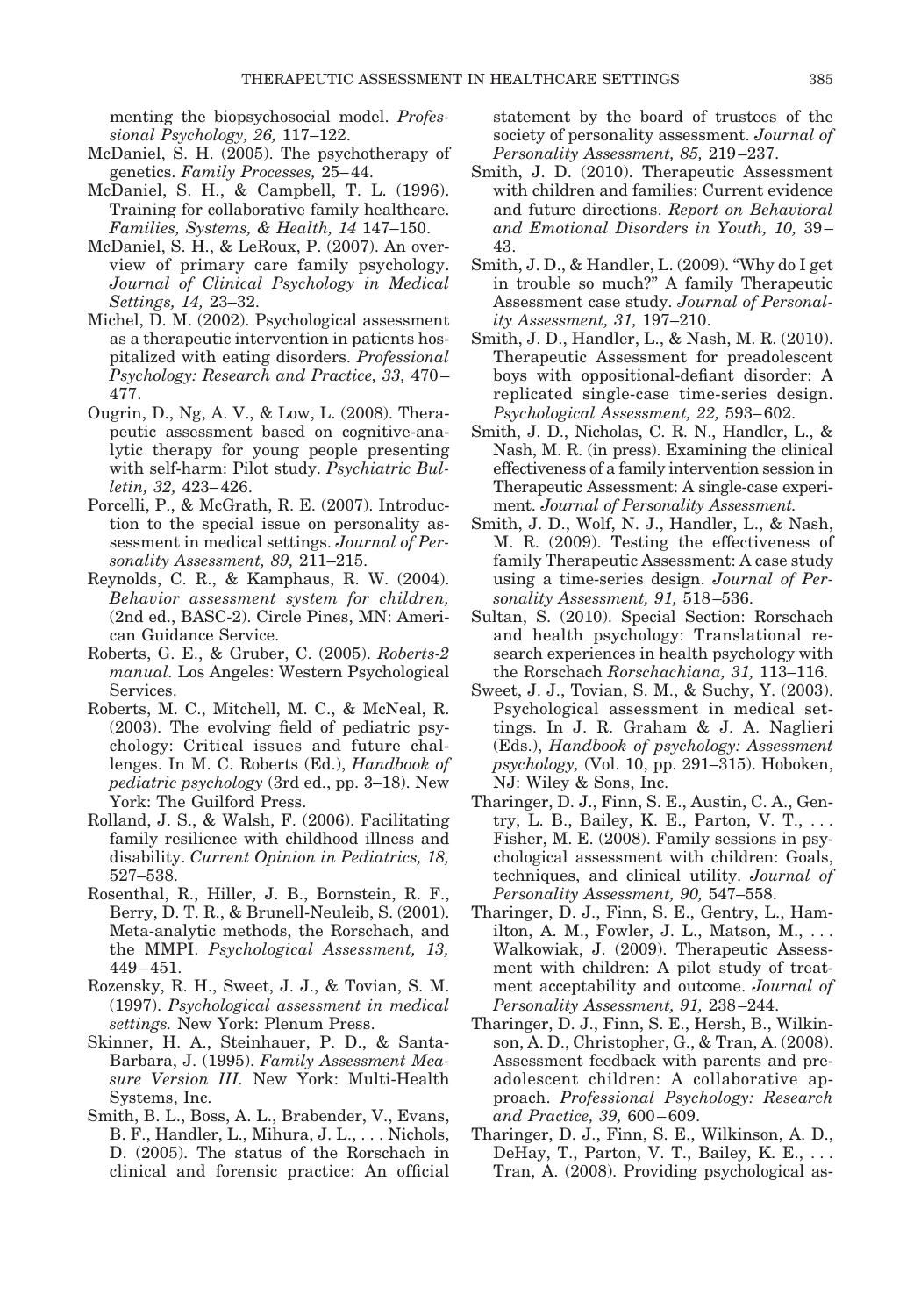menting the biopsychosocial model. *Professional Psychology, 26,* 117–122.

- McDaniel, S. H. (2005). The psychotherapy of genetics. *Family Processes,* 25– 44.
- McDaniel, S. H., & Campbell, T. L. (1996). Training for collaborative family healthcare. *Families, Systems, & Health, 14* 147–150.
- McDaniel, S. H., & LeRoux, P. (2007). An overview of primary care family psychology. *Journal of Clinical Psychology in Medical Settings, 14,* 23–32.
- Michel, D. M. (2002). Psychological assessment as a therapeutic intervention in patients hospitalized with eating disorders. *Professional Psychology: Research and Practice, 33,* 470 – 477.
- Ougrin, D., Ng, A. V., & Low, L. (2008). Therapeutic assessment based on cognitive-analytic therapy for young people presenting with self-harm: Pilot study. *Psychiatric Bulletin, 32,* 423– 426.
- Porcelli, P., & McGrath, R. E. (2007). Introduction to the special issue on personality assessment in medical settings. *Journal of Personality Assessment, 89,* 211–215.
- Reynolds, C. R., & Kamphaus, R. W. (2004). *Behavior assessment system for children,* (2nd ed., BASC-2). Circle Pines, MN: American Guidance Service.
- Roberts, G. E., & Gruber, C. (2005). *Roberts-2 manual.* Los Angeles: Western Psychological Services.
- Roberts, M. C., Mitchell, M. C., & McNeal, R. (2003). The evolving field of pediatric psychology: Critical issues and future challenges. In M. C. Roberts (Ed.), *Handbook of pediatric psychology* (3rd ed., pp. 3–18). New York: The Guilford Press.
- Rolland, J. S., & Walsh, F. (2006). Facilitating family resilience with childhood illness and disability. *Current Opinion in Pediatrics, 18,* 527–538.
- Rosenthal, R., Hiller, J. B., Bornstein, R. F., Berry, D. T. R., & Brunell-Neuleib, S. (2001). Meta-analytic methods, the Rorschach, and the MMPI. *Psychological Assessment, 13,* 449 – 451.
- Rozensky, R. H., Sweet, J. J., & Tovian, S. M. (1997). *Psychological assessment in medical settings.* New York: Plenum Press.
- Skinner, H. A., Steinhauer, P. D., & Santa-Barbara, J. (1995). *Family Assessment Measure Version III.* New York: Multi-Health Systems, Inc.
- Smith, B. L., Boss, A. L., Brabender, V., Evans, B. F., Handler, L., Mihura, J. L., . . . Nichols, D. (2005). The status of the Rorschach in clinical and forensic practice: An official

statement by the board of trustees of the society of personality assessment. *Journal of Personality Assessment, 85,* 219 –237.

- Smith, J. D. (2010). Therapeutic Assessment with children and families: Current evidence and future directions. *Report on Behavioral and Emotional Disorders in Youth, 10,* 39 – 43.
- Smith, J. D., & Handler, L. (2009). "Why do I get in trouble so much?" A family Therapeutic Assessment case study. *Journal of Personality Assessment, 31,* 197–210.
- Smith, J. D., Handler, L., & Nash, M. R. (2010). Therapeutic Assessment for preadolescent boys with oppositional-defiant disorder: A replicated single-case time-series design. *Psychological Assessment, 22,* 593– 602.
- Smith, J. D., Nicholas, C. R. N., Handler, L., & Nash, M. R. (in press). Examining the clinical effectiveness of a family intervention session in Therapeutic Assessment: A single-case experiment. *Journal of Personality Assessment.*
- Smith, J. D., Wolf, N. J., Handler, L., & Nash, M. R. (2009). Testing the effectiveness of family Therapeutic Assessment: A case study using a time-series design. *Journal of Personality Assessment, 91,* 518 –536.
- Sultan, S. (2010). Special Section: Rorschach and health psychology: Translational research experiences in health psychology with the Rorschach *Rorschachiana, 31,* 113–116.
- Sweet, J. J., Tovian, S. M., & Suchy, Y. (2003). Psychological assessment in medical settings. In J. R. Graham & J. A. Naglieri (Eds.), *Handbook of psychology: Assessment psychology,* (Vol. 10, pp. 291–315). Hoboken, NJ: Wiley & Sons, Inc.
- Tharinger, D. J., Finn, S. E., Austin, C. A., Gentry, L. B., Bailey, K. E., Parton, V. T., . . . Fisher, M. E. (2008). Family sessions in psychological assessment with children: Goals, techniques, and clinical utility. *Journal of Personality Assessment, 90,* 547–558.
- Tharinger, D. J., Finn, S. E., Gentry, L., Hamilton, A. M., Fowler, J. L., Matson, M., . . . Walkowiak, J. (2009). Therapeutic Assessment with children: A pilot study of treatment acceptability and outcome. *Journal of Personality Assessment, 91,* 238 –244.
- Tharinger, D. J., Finn, S. E., Hersh, B., Wilkinson, A. D., Christopher, G., & Tran, A. (2008). Assessment feedback with parents and preadolescent children: A collaborative approach. *Professional Psychology: Research and Practice, 39,* 600 – 609.
- Tharinger, D. J., Finn, S. E., Wilkinson, A. D., DeHay, T., Parton, V. T., Bailey, K. E., . . . Tran, A. (2008). Providing psychological as-